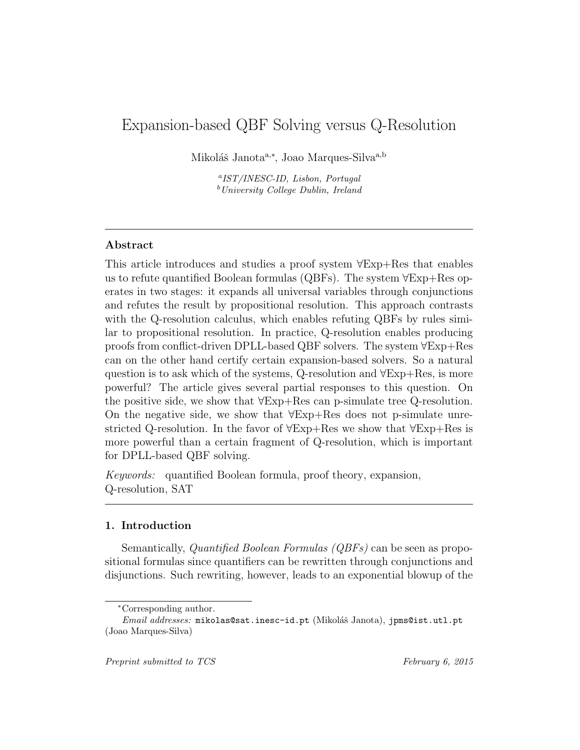# Expansion-based QBF Solving versus Q-Resolution

Mikoláš Janota<sup>a,∗</sup>, Joao Marques-Silva<sup>a,b</sup>

a IST/INESC-ID, Lisbon, Portugal  $b$ University College Dublin, Ireland

# Abstract

This article introduces and studies a proof system ∀Exp+Res that enables us to refute quantified Boolean formulas (QBFs). The system ∀Exp+Res operates in two stages: it expands all universal variables through conjunctions and refutes the result by propositional resolution. This approach contrasts with the Q-resolution calculus, which enables refuting QBFs by rules similar to propositional resolution. In practice, Q-resolution enables producing proofs from conflict-driven DPLL-based QBF solvers. The system ∀Exp+Res can on the other hand certify certain expansion-based solvers. So a natural question is to ask which of the systems, Q-resolution and ∀Exp+Res, is more powerful? The article gives several partial responses to this question. On the positive side, we show that ∀Exp+Res can p-simulate tree Q-resolution. On the negative side, we show that ∀Exp+Res does not p-simulate unrestricted Q-resolution. In the favor of ∀Exp+Res we show that ∀Exp+Res is more powerful than a certain fragment of Q-resolution, which is important for DPLL-based QBF solving.

Keywords: quantified Boolean formula, proof theory, expansion, Q-resolution, SAT

# 1. Introduction

Semantically, Quantified Boolean Formulas (QBFs) can be seen as propositional formulas since quantifiers can be rewritten through conjunctions and disjunctions. Such rewriting, however, leads to an exponential blowup of the

<sup>∗</sup>Corresponding author.

Email addresses: mikolas@sat.inesc-id.pt (Mikoláš Janota), jpms@ist.utl.pt (Joao Marques-Silva)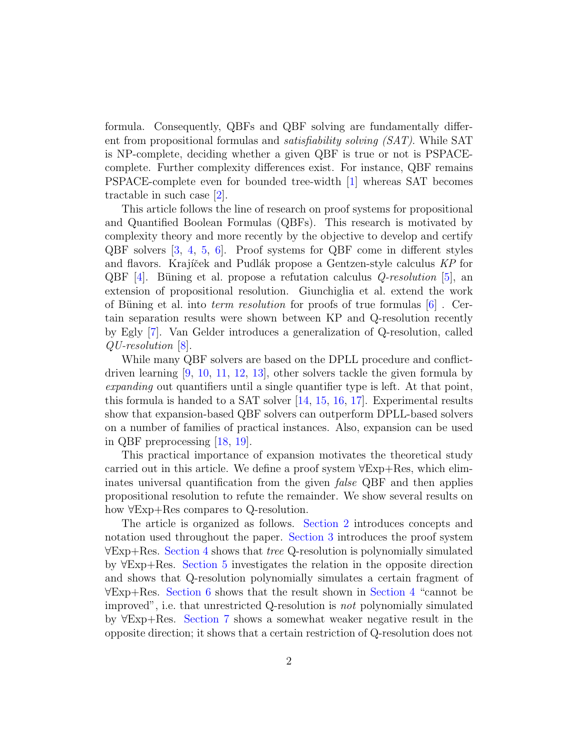formula. Consequently, QBFs and QBF solving are fundamentally different from propositional formulas and satisfiability solving (SAT). While SAT is NP-complete, deciding whether a given QBF is true or not is PSPACEcomplete. Further complexity differences exist. For instance, QBF remains PSPACE-complete even for bounded tree-width [\[1\]](#page-36-0) whereas SAT becomes tractable in such case [\[2\]](#page-36-1).

This article follows the line of research on proof systems for propositional and Quantified Boolean Formulas (QBFs). This research is motivated by complexity theory and more recently by the objective to develop and certify QBF solvers [\[3,](#page-36-2) [4,](#page-36-3) [5,](#page-36-4) [6\]](#page-36-5). Proof systems for QBF come in different styles and flavors. Krajíček and Pudlák propose a Gentzen-style calculus KP for QBF  $[4]$ . Büning et al. propose a refutation calculus *Q-resolution* [\[5\]](#page-36-4), an extension of propositional resolution. Giunchiglia et al. extend the work of Büning et al. into *term resolution* for proofs of true formulas  $|6|$ . Certain separation results were shown between KP and Q-resolution recently by Egly [\[7\]](#page-36-6). Van Gelder introduces a generalization of Q-resolution, called QU-resolution [\[8\]](#page-36-7).

While many QBF solvers are based on the DPLL procedure and conflictdriven learning [\[9,](#page-37-0) [10,](#page-37-1) [11,](#page-37-2) [12,](#page-37-3) [13\]](#page-37-4), other solvers tackle the given formula by expanding out quantifiers until a single quantifier type is left. At that point, this formula is handed to a SAT solver [\[14,](#page-37-5) [15,](#page-37-6) [16,](#page-37-7) [17\]](#page-37-8). Experimental results show that expansion-based QBF solvers can outperform DPLL-based solvers on a number of families of practical instances. Also, expansion can be used in QBF preprocessing [\[18,](#page-37-9) [19\]](#page-37-10).

This practical importance of expansion motivates the theoretical study carried out in this article. We define a proof system ∀Exp+Res, which eliminates universal quantification from the given false QBF and then applies propositional resolution to refute the remainder. We show several results on how ∀Exp+Res compares to Q-resolution.

The article is organized as follows. [Section 2](#page-2-0) introduces concepts and notation used throughout the paper. [Section 3](#page-5-0) introduces the proof system ∀Exp+Res. [Section 4](#page-10-0) shows that tree Q-resolution is polynomially simulated by ∀Exp+Res. [Section 5](#page-24-0) investigates the relation in the opposite direction and shows that Q-resolution polynomially simulates a certain fragment of ∀Exp+Res. [Section 6](#page-28-0) shows that the result shown in [Section 4](#page-10-0) "cannot be improved", i.e. that unrestricted Q-resolution is not polynomially simulated by ∀Exp+Res. [Section 7](#page-30-0) shows a somewhat weaker negative result in the opposite direction; it shows that a certain restriction of Q-resolution does not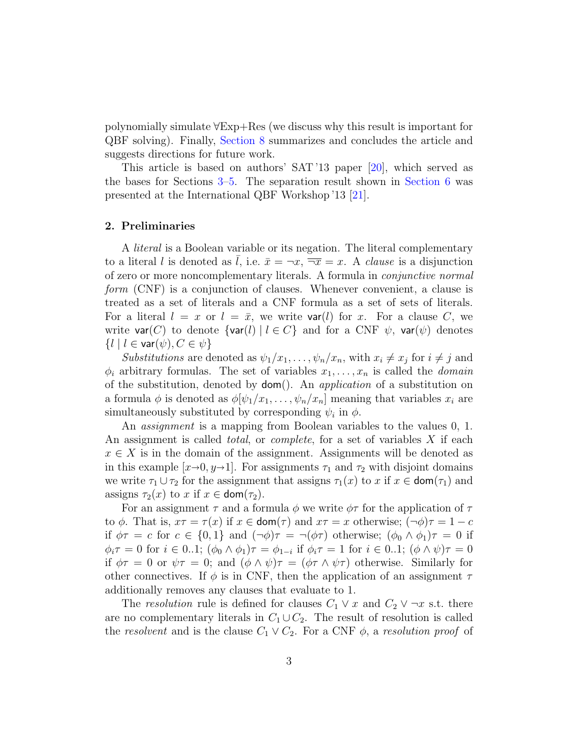polynomially simulate ∀Exp+Res (we discuss why this result is important for QBF solving). Finally, [Section 8](#page-34-0) summarizes and concludes the article and suggests directions for future work.

This article is based on authors' SAT '13 paper [\[20\]](#page-37-11), which served as the bases for Sections [3–](#page-5-0)[5.](#page-24-0) The separation result shown in [Section 6](#page-28-0) was presented at the International QBF Workshop '13 [\[21\]](#page-38-0).

# <span id="page-2-0"></span>2. Preliminaries

A literal is a Boolean variable or its negation. The literal complementary to a literal l is denoted as l, i.e.  $\bar{x} = -x$ ,  $\bar{x} = x$ . A *clause* is a disjunction of zero or more noncomplementary literals. A formula in conjunctive normal form (CNF) is a conjunction of clauses. Whenever convenient, a clause is treated as a set of literals and a CNF formula as a set of sets of literals. For a literal  $l = x$  or  $l = \bar{x}$ , we write **var**(*l*) for x. For a clause C, we write  $var(C)$  to denote  $\{var(l) | l \in C\}$  and for a CNF  $\psi$ ,  $var(\psi)$  denotes  $\{l \mid l \in \text{var}(\psi), C \in \psi\}$ 

Substitutions are denoted as  $\psi_1/x_1, \ldots, \psi_n/x_n$ , with  $x_i \neq x_j$  for  $i \neq j$  and  $\phi_i$  arbitrary formulas. The set of variables  $x_1, \ldots, x_n$  is called the *domain* of the substitution, denoted by dom(). An application of a substitution on a formula  $\phi$  is denoted as  $\phi[\psi_1/x_1,\ldots,\psi_n/x_n]$  meaning that variables  $x_i$  are simultaneously substituted by corresponding  $\psi_i$  in  $\phi$ .

An *assignment* is a mapping from Boolean variables to the values 0, 1. An assignment is called *total*, or *complete*, for a set of variables X if each  $x \in X$  is in the domain of the assignment. Assignments will be denoted as in this example  $[x\rightarrow0, y\rightarrow1]$ . For assignments  $\tau_1$  and  $\tau_2$  with disjoint domains we write  $\tau_1 \cup \tau_2$  for the assignment that assigns  $\tau_1(x)$  to x if  $x \in \text{dom}(\tau_1)$  and assigns  $\tau_2(x)$  to x if  $x \in \text{dom}(\tau_2)$ .

For an assignment  $\tau$  and a formula  $\phi$  we write  $\phi\tau$  for the application of  $\tau$ to  $\phi$ . That is,  $x\tau = \tau(x)$  if  $x \in \text{dom}(\tau)$  and  $x\tau = x$  otherwise;  $(\neg \phi)\tau = 1 - c$ if  $\phi \tau = c$  for  $c \in \{0,1\}$  and  $(\neg \phi) \tau = \neg (\phi \tau)$  otherwise;  $(\phi_0 \wedge \phi_1) \tau = 0$  if  $\phi_i \tau = 0$  for  $i \in 0..1$ ;  $(\phi_0 \wedge \phi_1) \tau = \phi_{1-i}$  if  $\phi_i \tau = 1$  for  $i \in 0..1$ ;  $(\phi \wedge \psi) \tau = 0$ if  $\phi \tau = 0$  or  $\psi \tau = 0$ ; and  $(\phi \wedge \psi) \tau = (\phi \tau \wedge \psi \tau)$  otherwise. Similarly for other connectives. If  $\phi$  is in CNF, then the application of an assignment  $\tau$ additionally removes any clauses that evaluate to 1.

The resolution rule is defined for clauses  $C_1 \vee x$  and  $C_2 \vee \neg x$  s.t. there are no complementary literals in  $C_1 \cup C_2$ . The result of resolution is called the resolvent and is the clause  $C_1 \vee C_2$ . For a CNF  $\phi$ , a resolution proof of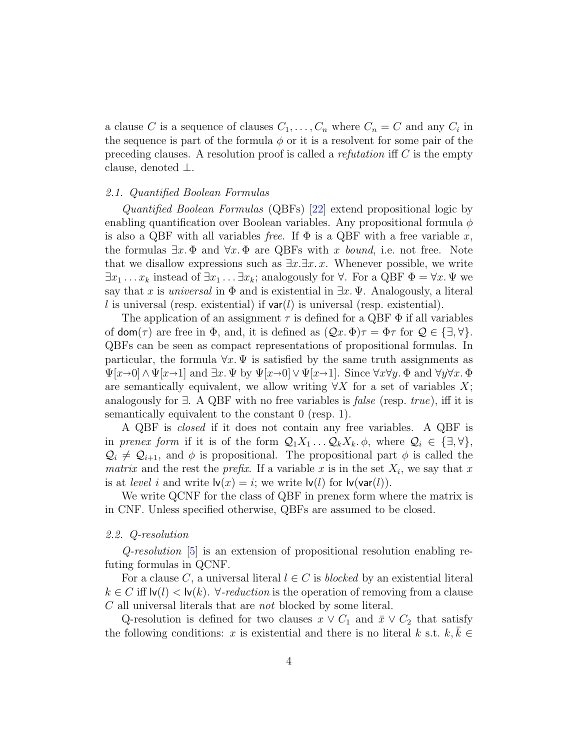a clause C is a sequence of clauses  $C_1, \ldots, C_n$  where  $C_n = C$  and any  $C_i$  in the sequence is part of the formula  $\phi$  or it is a resolvent for some pair of the preceding clauses. A resolution proof is called a *refutation* iff  $C$  is the empty clause, denoted ⊥.

# 2.1. Quantified Boolean Formulas

Quantified Boolean Formulas (QBFs) [\[22\]](#page-38-1) extend propositional logic by enabling quantification over Boolean variables. Any propositional formula  $\phi$ is also a QBF with all variables free. If  $\Phi$  is a QBF with a free variable x, the formulas  $\exists x.\Phi$  and  $\forall x.\Phi$  are QBFs with x bound, i.e. not free. Note that we disallow expressions such as  $\exists x.\exists x.\,x$ . Whenever possible, we write  $\exists x_1 \ldots x_k$  instead of  $\exists x_1 \ldots \exists x_k$ ; analogously for  $\forall$ . For a QBF  $\Phi = \forall x \, \Psi$  we say that x is *universal* in  $\Phi$  and is existential in  $\exists x.\Psi$ . Analogously, a literal l is universal (resp. existential) if  $var(l)$  is universal (resp. existential).

The application of an assignment  $\tau$  is defined for a QBF  $\Phi$  if all variables of  $\text{dom}(\tau)$  are free in  $\Phi$ , and, it is defined as  $(\mathcal{Q}x, \Phi)\tau = \Phi\tau$  for  $\mathcal{Q} \in {\{\exists, \forall\}}$ . QBFs can be seen as compact representations of propositional formulas. In particular, the formula  $\forall x \cdot \Psi$  is satisfied by the same truth assignments as  $\Psi[x\rightarrow0] \wedge \Psi[x\rightarrow1]$  and  $\exists x.\Psi$  by  $\Psi[x\rightarrow0] \vee \Psi[x\rightarrow1]$ . Since  $\forall x \forall y.\Phi$  and  $\forall y \forall x.\Phi$ are semantically equivalent, we allow writing  $\forall X$  for a set of variables X; analogously for  $\exists$ . A QBF with no free variables is *false* (resp. *true*), iff it is semantically equivalent to the constant 0 (resp. 1).

A QBF is closed if it does not contain any free variables. A QBF is in prenex form if it is of the form  $\mathcal{Q}_1 X_1 \ldots \mathcal{Q}_k X_k$ .  $\phi$ , where  $\mathcal{Q}_i \in \{\exists, \forall\},\$  $\mathcal{Q}_i \neq \mathcal{Q}_{i+1}$ , and  $\phi$  is propositional. The propositional part  $\phi$  is called the matrix and the rest the *prefix*. If a variable x is in the set  $X_i$ , we say that x is at *level i* and write  $\mathsf{Iv}(x) = i$ ; we write  $\mathsf{Iv}(l)$  for  $\mathsf{Iv}(\mathsf{var}(l))$ .

We write QCNF for the class of QBF in prenex form where the matrix is in CNF. Unless specified otherwise, QBFs are assumed to be closed.

#### 2.2. Q-resolution

Q-resolution [\[5\]](#page-36-4) is an extension of propositional resolution enabling refuting formulas in QCNF.

For a clause C, a universal literal  $l \in C$  is blocked by an existential literal  $k \in C$  iff  $|v(l)| < |v(k)|$ .  $\forall$ -reduction is the operation of removing from a clause C all universal literals that are not blocked by some literal.

Q-resolution is defined for two clauses  $x \vee C_1$  and  $\overline{x} \vee C_2$  that satisfy the following conditions: x is existential and there is no literal k s.t.  $k, k \in$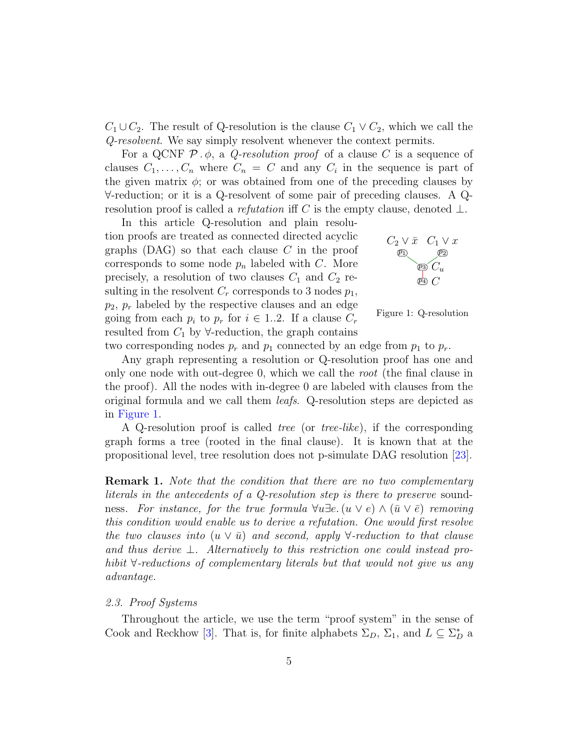$C_1 \cup C_2$ . The result of Q-resolution is the clause  $C_1 \vee C_2$ , which we call the Q-resolvent. We say simply resolvent whenever the context permits.

For a QCNF  $\mathcal{P} \cdot \phi$ , a *Q-resolution proof* of a clause C is a sequence of clauses  $C_1, \ldots, C_n$  where  $C_n = C$  and any  $C_i$  in the sequence is part of the given matrix  $\phi$ ; or was obtained from one of the preceding clauses by ∀-reduction; or it is a Q-resolvent of some pair of preceding clauses. A Qresolution proof is called a *refutation* iff C is the empty clause, denoted  $\bot$ .

In this article Q-resolution and plain resolution proofs are treated as connected directed acyclic graphs  $(DAG)$  so that each clause C in the proof corresponds to some node  $p_n$  labeled with C. More precisely, a resolution of two clauses  $C_1$  and  $C_2$  resulting in the resolvent  $C_r$  corresponds to 3 nodes  $p_1$ ,  $p_2, p_r$  labeled by the respective clauses and an edge going from each  $p_i$  to  $p_r$  for  $i \in 1..2$ . If a clause  $C_r$ resulted from  $C_1$  by  $\forall$ -reduction, the graph contains



<span id="page-4-0"></span>Figure 1: Q-resolution

two corresponding nodes  $p_r$  and  $p_1$  connected by an edge from  $p_1$  to  $p_r$ .

Any graph representing a resolution or Q-resolution proof has one and only one node with out-degree 0, which we call the root (the final clause in the proof). All the nodes with in-degree 0 are labeled with clauses from the original formula and we call them leafs. Q-resolution steps are depicted as in [Figure 1.](#page-4-0)

A Q-resolution proof is called tree (or tree-like), if the corresponding graph forms a tree (rooted in the final clause). It is known that at the propositional level, tree resolution does not p-simulate DAG resolution [\[23\]](#page-38-2).

<span id="page-4-1"></span>**Remark 1.** Note that the condition that there are no two complementary literals in the antecedents of a Q-resolution step is there to preserve soundness. For instance, for the true formula  $\forall u \exists e. (u \vee e) \wedge (\bar{u} \vee \bar{e})$  removing this condition would enable us to derive a refutation. One would first resolve the two clauses into  $(u \vee \overline{u})$  and second, apply  $\forall$ -reduction to that clause and thus derive  $\perp$ . Alternatively to this restriction one could instead prohibit ∀-reductions of complementary literals but that would not give us any advantage.

#### 2.3. Proof Systems

Throughout the article, we use the term "proof system" in the sense of Cook and Reckhow [\[3\]](#page-36-2). That is, for finite alphabets  $\Sigma_D$ ,  $\Sigma_1$ , and  $L \subseteq \Sigma_D^*$  a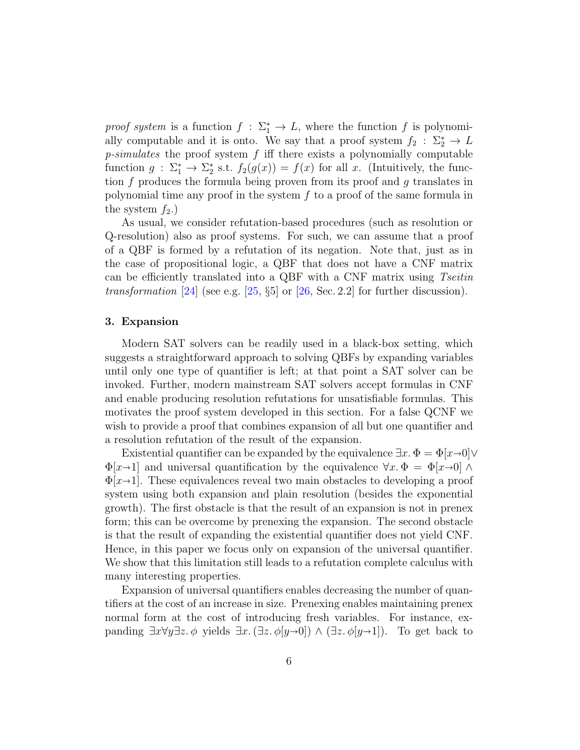proof system is a function  $f : \Sigma_1^* \to L$ , where the function f is polynomially computable and it is onto. We say that a proof system  $f_2 : \Sigma_2^* \to L$  $p\text{-}simulates$  the proof system  $f$  iff there exists a polynomially computable function  $g : \Sigma_1^* \to \Sigma_2^*$  s.t.  $f_2(g(x)) = f(x)$  for all x. (Intuitively, the function  $f$  produces the formula being proven from its proof and  $g$  translates in polynomial time any proof in the system  $f$  to a proof of the same formula in the system  $f_2$ .)

As usual, we consider refutation-based procedures (such as resolution or Q-resolution) also as proof systems. For such, we can assume that a proof of a QBF is formed by a refutation of its negation. Note that, just as in the case of propositional logic, a QBF that does not have a CNF matrix can be efficiently translated into a QBF with a CNF matrix using Tseitin transformation [\[24\]](#page-38-3) (see e.g.  $[25, §5]$  $[25, §5]$  or  $[26, Sec. 2.2]$  $[26, Sec. 2.2]$  for further discussion).

# <span id="page-5-0"></span>3. Expansion

Modern SAT solvers can be readily used in a black-box setting, which suggests a straightforward approach to solving QBFs by expanding variables until only one type of quantifier is left; at that point a SAT solver can be invoked. Further, modern mainstream SAT solvers accept formulas in CNF and enable producing resolution refutations for unsatisfiable formulas. This motivates the proof system developed in this section. For a false QCNF we wish to provide a proof that combines expansion of all but one quantifier and a resolution refutation of the result of the expansion.

Existential quantifier can be expanded by the equivalence  $\exists x.\ \Phi = \Phi[x\rightarrow 0]\vee$  $\Phi[x\rightarrow1]$  and universal quantification by the equivalence  $\forall x.\ \Phi = \Phi[x\rightarrow0] \land$  $\Phi[x\rightarrow1]$ . These equivalences reveal two main obstacles to developing a proof system using both expansion and plain resolution (besides the exponential growth). The first obstacle is that the result of an expansion is not in prenex form; this can be overcome by prenexing the expansion. The second obstacle is that the result of expanding the existential quantifier does not yield CNF. Hence, in this paper we focus only on expansion of the universal quantifier. We show that this limitation still leads to a refutation complete calculus with many interesting properties.

Expansion of universal quantifiers enables decreasing the number of quantifiers at the cost of an increase in size. Prenexing enables maintaining prenex normal form at the cost of introducing fresh variables. For instance, expanding  $\exists x \forall y \exists z. \phi$  yields  $\exists x.(\exists z. \phi[y\rightarrow 0]) \wedge (\exists z. \phi[y\rightarrow 1])$ . To get back to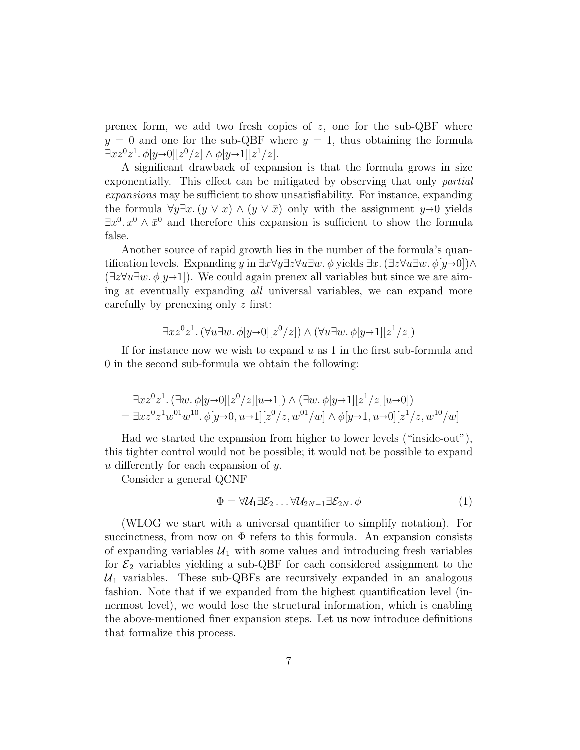prenex form, we add two fresh copies of  $z$ , one for the sub-QBF where  $y = 0$  and one for the sub-QBF where  $y = 1$ , thus obtaining the formula  $\exists x z^0 z^1 \cdot \phi[y \rightarrow 0][z^0/z] \wedge \phi[y \rightarrow 1][z^1/z].$ <br>A given drawback of expanding

A significant drawback of expansion is that the formula grows in size exponentially. This effect can be mitigated by observing that only *partial* expansions may be sufficient to show unsatisfiability. For instance, expanding the formula  $\forall y \exists x. (y \lor x) \land (y \lor \bar{x})$  only with the assignment  $y \rightarrow 0$  yields  $\exists x^{0} \ldots x^{0} \wedge \bar{x}^{0}$  and therefore this expansion is sufficient to show the formula false.

Another source of rapid growth lies in the number of the formula's quantification levels. Expanding y in  $\exists x \forall y \exists z \forall u \exists w. \phi$  yields  $\exists x.(\exists z \forall u \exists w. \phi(y\rightarrow 0)) \land$  $(\exists z \forall u \exists w \ldotp \phi | y \rightarrow 1)$ . We could again prenex all variables but since we are aiming at eventually expanding all universal variables, we can expand more carefully by prenexing only z first:

$$
\exists x z^0 z^1. \left(\forall u \exists w. \phi[y \rightarrow 0][z^0/z]\right) \land \left(\forall u \exists w. \phi[y \rightarrow 1][z^1/z]\right)
$$

If for instance now we wish to expand  $u$  as 1 in the first sub-formula and 0 in the second sub-formula we obtain the following:

$$
\exists x z^{0} z^{1}. (\exists w. \phi[y \to 0][z^{0}/z][u \to 1]) \land (\exists w. \phi[y \to 1][z^{1}/z][u \to 0])
$$
  
= 
$$
\exists x z^{0} z^{1} w^{01} w^{10}. \phi[y \to 0, u \to 1][z^{0}/z, w^{01}/w] \land \phi[y \to 1, u \to 0][z^{1}/z, w^{10}/w]
$$

Had we started the expansion from higher to lower levels ("inside-out"), this tighter control would not be possible; it would not be possible to expand u differently for each expansion of y.

Consider a general QCNF

$$
\Phi = \forall \mathcal{U}_1 \exists \mathcal{E}_2 \dots \forall \mathcal{U}_{2N-1} \exists \mathcal{E}_{2N}.\ \phi \tag{1}
$$

(WLOG we start with a universal quantifier to simplify notation). For succinctness, from now on  $\Phi$  refers to this formula. An expansion consists of expanding variables  $\mathcal{U}_1$  with some values and introducing fresh variables for  $\mathcal{E}_2$  variables yielding a sub-QBF for each considered assignment to the  $\mathcal{U}_1$  variables. These sub-QBFs are recursively expanded in an analogous fashion. Note that if we expanded from the highest quantification level (innermost level), we would lose the structural information, which is enabling the above-mentioned finer expansion steps. Let us now introduce definitions that formalize this process.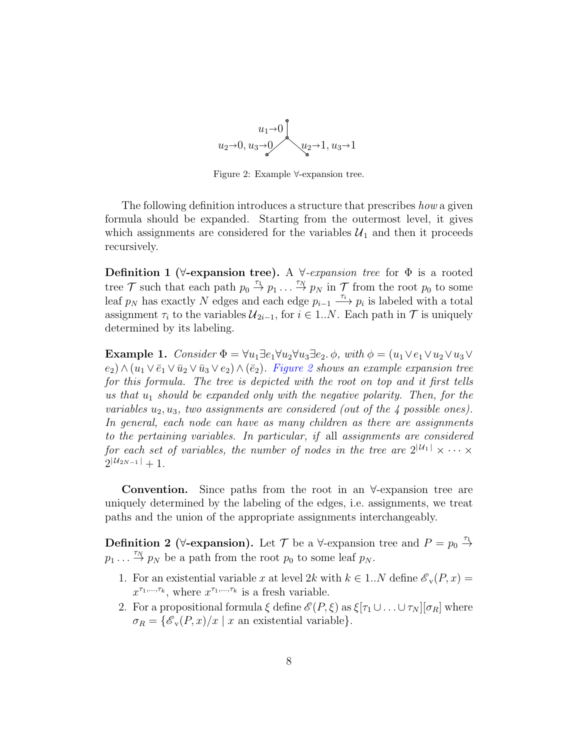

<span id="page-7-0"></span>Figure 2: Example ∀-expansion tree.

The following definition introduces a structure that prescribes how a given formula should be expanded. Starting from the outermost level, it gives which assignments are considered for the variables  $\mathcal{U}_1$  and then it proceeds recursively.

**Definition 1** ( $\forall$ -expansion tree). A  $\forall$ -expansion tree for  $\Phi$  is a rooted tree  $\mathcal T$  such that each path  $p_0 \overset{\tau_1}{\rightarrow} p_1 \dots \overset{\tau_N}{\rightarrow} p_N$  in  $\mathcal T$  from the root  $p_0$  to some leaf  $p_N$  has exactly N edges and each edge  $p_{i-1} \xrightarrow{\tau_i} p_i$  is labeled with a total assignment  $\tau_i$  to the variables  $\mathcal{U}_{2i-1}$ , for  $i \in 1..N$ . Each path in  $\mathcal T$  is uniquely determined by its labeling.

<span id="page-7-1"></span>Example 1. Consider  $\Phi = \forall u_1 \exists e_1 \forall u_2 \forall u_3 \exists e_2 \ldots \phi$ , with  $\phi = (u_1 \lor e_1 \lor u_2 \lor u_3 \lor u_4 \lor u_5 \lor u_5 \lor u_6 \lor u_7 \lor u_8 \lor u_9 \lor u_1 \lor u_2 \lor u_3 \lor u_4 \lor u_5 \lor u_6 \lor u_7 \lor u_8 \lor u_9 \lor u_1 \lor u_2 \lor u_3 \lor u_4 \lor u_5 \lor u_6 \lor u_7 \lor u_8 \lor u_9 \lor u_9 \lor u_1 \$  $(e_2) \wedge (u_1 \vee \overline{e}_1 \vee \overline{u}_2 \vee \overline{u}_3 \vee e_2) \wedge (\overline{e}_2)$ . [Figure 2](#page-7-0) shows an example expansion tree for this formula. The tree is depicted with the root on top and it first tells us that  $u_1$  should be expanded only with the negative polarity. Then, for the variables  $u_2, u_3$ , two assignments are considered (out of the 4 possible ones). In general, each node can have as many children as there are assignments to the pertaining variables. In particular, if all assignments are considered for each set of variables, the number of nodes in the tree are  $2^{|U_1|} \times \cdots \times$  $2^{|U_{2N-1}|}+1.$ 

Convention. Since paths from the root in an ∀-expansion tree are uniquely determined by the labeling of the edges, i.e. assignments, we treat paths and the union of the appropriate assignments interchangeably.

**Definition 2** ( $\forall$ -expansion). Let  $\mathcal{T}$  be a  $\forall$ -expansion tree and  $P = p_0 \stackrel{\tau_1}{\rightarrow}$  $p_1 \ldots \overset{\tau_N}{\rightarrow} p_N$  be a path from the root  $p_0$  to some leaf  $p_N$ .

- 1. For an existential variable x at level 2k with  $k \in 1..N$  define  $\mathscr{E}_{\mathbf{v}}(P, x) =$  $x^{\tau_1,\ldots,\tau_k}$ , where  $x^{\tau_1,\ldots,\tau_k}$  is a fresh variable.
- 2. For a propositional formula  $\xi$  define  $\mathscr{E}(P,\xi)$  as  $\xi[\tau_1\cup\ldots\cup\tau_N][\sigma_R]$  where  $\sigma_R = \{ \mathcal{E}_v(P, x)/x \mid x \text{ an existential variable} \}.$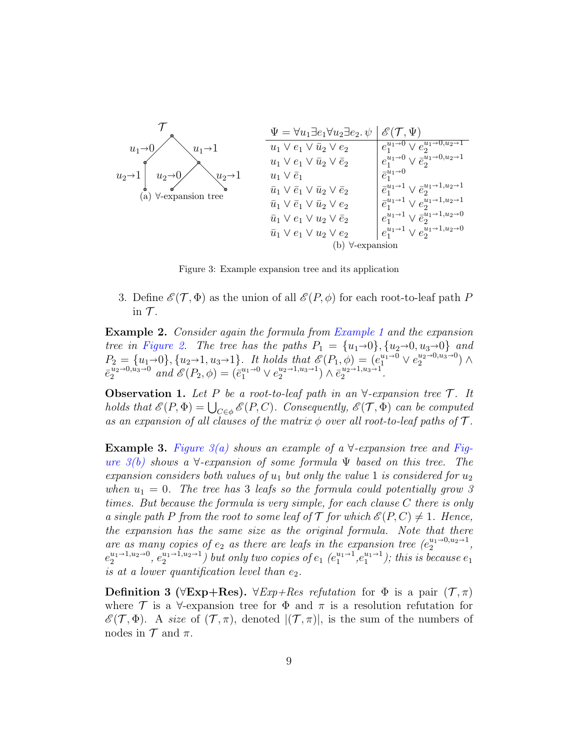<span id="page-8-1"></span><span id="page-8-0"></span>

Figure 3: Example expansion tree and its application

3. Define  $\mathscr{E}(\mathcal{T}, \Phi)$  as the union of all  $\mathscr{E}(P, \phi)$  for each root-to-leaf path P in  $\mathcal T$ .

Example 2. Consider again the formula from [Example 1](#page-7-1) and the expansion tree in [Figure 2.](#page-7-0) The tree has the paths  $P_1 = \{u_1 \rightarrow 0\}, \{u_2 \rightarrow 0, u_3 \rightarrow 0\}$  and  $P_2 = \{u_1 \to 0\}, \{u_2 \to 1, u_3 \to 1\}.$  It holds that  $\mathscr{E}(P_1, \phi) = (e_1^{u_1 \to 0} \vee e_2^{u_2 \to 0, u_3 \to 0}) \wedge \mathscr{E}(u_2 \to 0, u_3 \to 0)$  $\bar{e}_2^{u_2 \to 0, u_3 \to 0}$  and  $\mathscr{E}(P_2, \phi) = (\bar{e}_1^{u_1 \to 0} \vee e_2^{u_2 \to 1, u_3 \to 1}) \wedge \bar{e}_2^{u_2 \to 1, u_3 \to 1}.$ 

**Observation 1.** Let P be a root-to-leaf path in an  $\forall$ -expansion tree  $\mathcal{T}$ . It holds that  $\mathscr{E}(P,\Phi) = \bigcup_{C \in \phi} \mathscr{E}(P,C)$ . Consequently,  $\mathscr{E}(\mathcal{T},\Phi)$  can be computed as an expansion of all clauses of the matrix  $\phi$  over all root-to-leaf paths of  $\mathcal{T}$ .

**Example 3.** Figure  $\mathcal{I}(a)$  shows an example of a  $\forall$ -expansion tree and [Fig](#page-8-1)ure  $3(b)$  shows a  $\forall$ -expansion of some formula  $\Psi$  based on this tree. The expansion considers both values of  $u_1$  but only the value 1 is considered for  $u_2$ when  $u_1 = 0$ . The tree has 3 leafs so the formula could potentially grow 3 times. But because the formula is very simple, for each clause C there is only a single path P from the root to some leaf of  $\mathcal T$  for which  $\mathscr E(P, C) \neq 1$ . Hence, the expansion has the same size as the original formula. Note that there are as many copies of  $e_2$  as there are leafs in the expansion tree  $(e_2^{u_1\rightarrow0,u_2\rightarrow1},$  $e_2^{u_1\to 1,u_2\to 0}, e_2^{u_1\to 1,u_2\to 1})$  but only two copies of  $e_1$   $(e_1^{u_1\to 1},e_1^{u_1\to 1})$ ; this is because  $e_1$ is at a lower quantification level than  $e_2$ .

Definition 3 ( $\forall$ Exp+Res).  $\forall$ Exp+Res refutation for  $\Phi$  is a pair  $(\mathcal{T}, \pi)$ where  $\mathcal T$  is a  $\forall$ -expansion tree for  $\Phi$  and  $\pi$  is a resolution refutation for  $\mathscr{E}(\mathcal{T}, \Phi)$ . A size of  $(\mathcal{T}, \pi)$ , denoted  $|(\mathcal{T}, \pi)|$ , is the sum of the numbers of nodes in  $\mathcal T$  and  $\pi$ .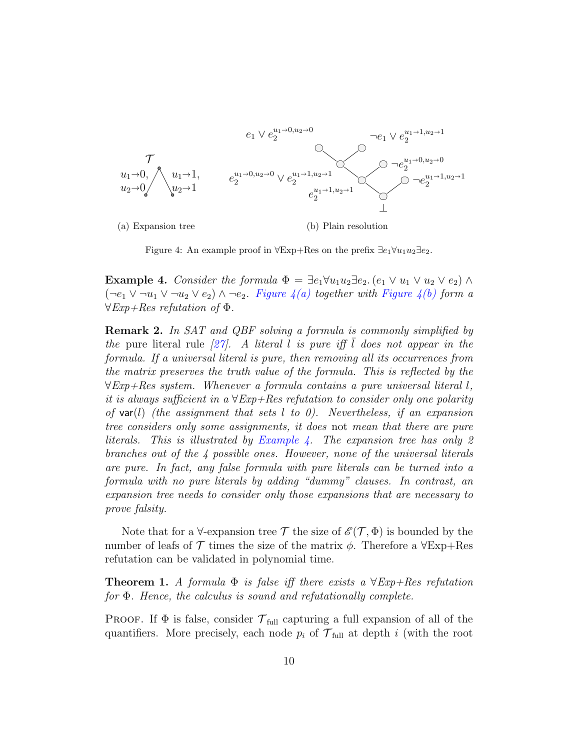<span id="page-9-0"></span>

<span id="page-9-3"></span><span id="page-9-1"></span>Figure 4: An example proof in  $\forall$ Exp+Res on the prefix  $\exists e_1 \forall u_1 u_2 \exists e_2$ .

<span id="page-9-2"></span>**Example 4.** Consider the formula  $\Phi = \exists e_1 \forall u_1 u_2 \exists e_2$ .  $(e_1 \lor u_1 \lor u_2 \lor e_2) \land$  $(\neg e_1 \lor \neg u_1 \lor \neg u_2 \lor e_2) \land \neg e_2$ . Figure  $\mathcal{A}(a)$  together with Figure  $\mathcal{A}(b)$  form a  $\forall Exp+Res$  refutation of  $\Phi$ .

Remark 2. In SAT and QBF solving a formula is commonly simplified by the pure literal rule  $\lceil 27 \rceil$ . A literal l is pure iff l does not appear in the formula. If a universal literal is pure, then removing all its occurrences from the matrix preserves the truth value of the formula. This is reflected by the  $\forall$ Exp+Res system. Whenever a formula contains a pure universal literal l, it is always sufficient in a  $\forall$ Exp+Res refutation to consider only one polarity of var(l) (the assignment that sets l to 0). Nevertheless, if an expansion tree considers only some assignments, it does not mean that there are pure literals. This is illustrated by [Example 4.](#page-9-2) The expansion tree has only 2 branches out of the 4 possible ones. However, none of the universal literals are pure. In fact, any false formula with pure literals can be turned into a formula with no pure literals by adding "dummy" clauses. In contrast, an expansion tree needs to consider only those expansions that are necessary to prove falsity.

Note that for a  $\forall$ -expansion tree T the size of  $\mathscr{E}(\mathcal{T}, \Phi)$  is bounded by the number of leafs of  $\mathcal T$  times the size of the matrix  $\phi$ . Therefore a  $\forall$ Exp+Res refutation can be validated in polynomial time.

**Theorem 1.** A formula  $\Phi$  is false iff there exists a  $\forall$ Exp+Res refutation for Φ. Hence, the calculus is sound and refutationally complete.

**PROOF.** If  $\Phi$  is false, consider  $\mathcal{T}_{\text{full}}$  capturing a full expansion of all of the quantifiers. More precisely, each node  $p_i$  of  $\mathcal{T}_{\text{full}}$  at depth i (with the root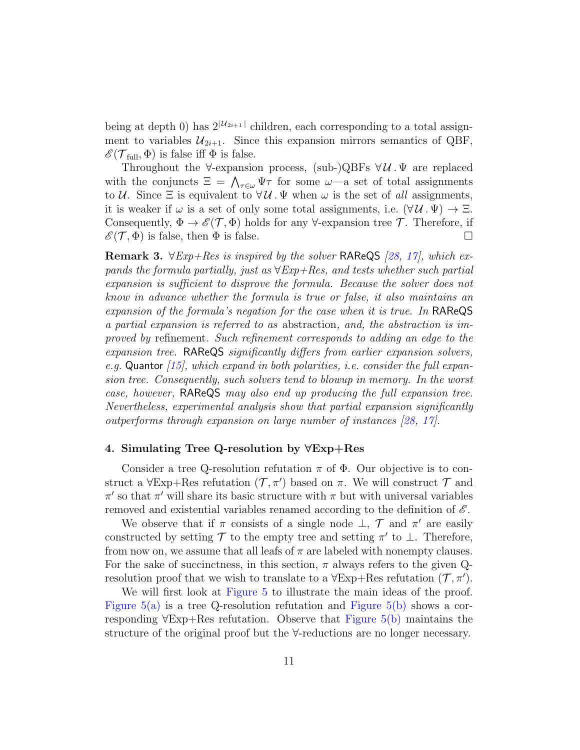being at depth 0) has  $2^{|U_{2i+1}|}$  children, each corresponding to a total assignment to variables  $\mathcal{U}_{2i+1}$ . Since this expansion mirrors semantics of QBF,  $\mathscr{E}(\mathcal{T}_{\text{full}}, \Phi)$  is false iff  $\Phi$  is false.

Throughout the  $\forall$ -expansion process, (sub-)QBFs  $\forall U \cdot \Psi$  are replaced with the conjuncts  $\Xi = \bigwedge_{\tau \in \omega} \Psi \tau$  for some  $\omega$ —a set of total assignments to U. Since  $\Xi$  is equivalent to  $\forall U \Psi$ . We when  $\omega$  is the set of all assignments, it is weaker if  $\omega$  is a set of only some total assignments, i.e.  $(\forall \mathcal{U} \cdot \Psi) \rightarrow \Xi$ . Consequently,  $\Phi \to \mathscr{E}(\mathcal{T}, \Phi)$  holds for any  $\forall$ -expansion tree  $\mathcal{T}$ . Therefore, if  $\mathscr{E}(\mathcal{T}, \Phi)$  is false, then  $\Phi$  is false.

**Remark 3.**  $\forall Exp+Res$  is inspired by the solver RAReQS [\[28,](#page-38-7) [17\]](#page-37-8), which expands the formula partially, just as  $\forall Exp+Res$ , and tests whether such partial expansion is sufficient to disprove the formula. Because the solver does not know in advance whether the formula is true or false, it also maintains an expansion of the formula's negation for the case when it is true. In RAReQS a partial expansion is referred to as abstraction, and, the abstraction is improved by refinement. Such refinement corresponds to adding an edge to the expansion tree. RAReQS significantly differs from earlier expansion solvers, e.g. Quantor  $(15)$ , which expand in both polarities, i.e. consider the full expansion tree. Consequently, such solvers tend to blowup in memory. In the worst case, however, RAReQS may also end up producing the full expansion tree. Nevertheless, experimental analysis show that partial expansion significantly outperforms through expansion on large number of instances [\[28,](#page-38-7) [17\]](#page-37-8).

# <span id="page-10-0"></span>4. Simulating Tree Q-resolution by ∀Exp+Res

Consider a tree Q-resolution refutation  $\pi$  of  $\Phi$ . Our objective is to construct a  $\forall$ Exp+Res refutation  $(\mathcal{T}, \pi')$  based on  $\pi$ . We will construct  $\mathcal{T}$  and  $\pi'$  so that  $\pi'$  will share its basic structure with  $\pi$  but with universal variables removed and existential variables renamed according to the definition of  $\mathscr{E}$ .

We observe that if  $\pi$  consists of a single node  $\perp$ ,  $\mathcal T$  and  $\pi'$  are easily constructed by setting  $\mathcal T$  to the empty tree and setting  $\pi'$  to  $\bot$ . Therefore, from now on, we assume that all leafs of  $\pi$  are labeled with nonempty clauses. For the sake of succinctness, in this section,  $\pi$  always refers to the given Qresolution proof that we wish to translate to a  $\forall$ Exp+Res refutation  $(\mathcal{T}, \pi')$ .

We will first look at [Figure 5](#page-11-0) to illustrate the main ideas of the proof. Figure  $5(a)$  is a tree Q-resolution refutation and Figure  $5(b)$  shows a corresponding ∀Exp+Res refutation. Observe that [Figure 5\(b\)](#page-11-2) maintains the structure of the original proof but the ∀-reductions are no longer necessary.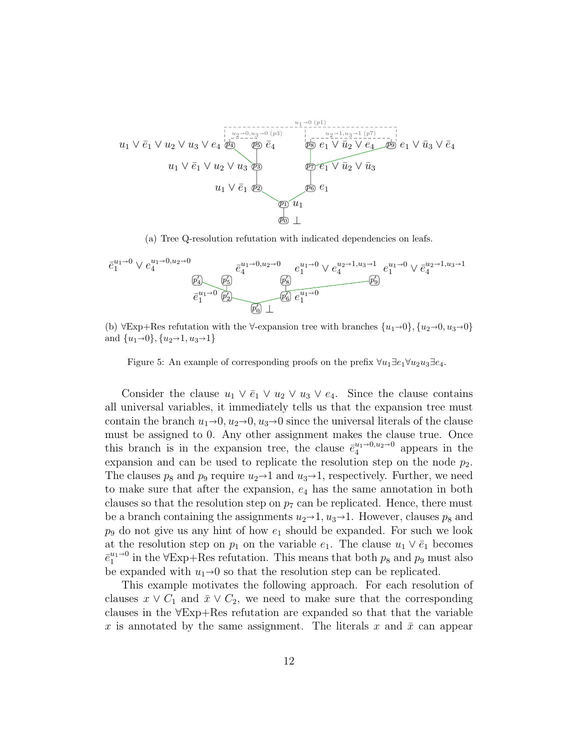<span id="page-11-1"></span>

(a) Tree Q-resolution refutation with indicated dependencies on leafs.

$$
\overline{e_1^{u_1 \to 0} \vee e_4^{u_1 \to 0, u_2 \to 0}} e_4^{u_1 \to 0, u_2 \to 0} e_4^{u_1 \to 0, u_2 \to 0} e_1^{u_1 \to 0} \vee e_4^{u_2 \to 1, u_3 \to 1} e_1^{u_1 \to 0} \vee \overline{e_4^{u_2 \to 1, u_3 \to 1}}
$$
\n
$$
\overline{e_1^{u_1 \to 0} \overline{e_2^{u_1 \to 0} \overline{e_2^{u_1 \to 0}}} e_1^{u_1 \to 0} e_1^{u_1 \to 0} e_1^{u_1 \to 0}}
$$
\n
$$
\overline{e_1^{u_1 \to 0} \overline{e_2^{u_1 \to 0} \overline{e_2^{u_1 \to 0}}} e_1^{u_1 \to 0} e_1^{u_1 \to 0}}
$$

<span id="page-11-2"></span>(b)  $\forall$ Exp+Res refutation with the  $\forall$ -expansion tree with branches  $\{u_1\rightarrow 0\}, \{u_2\rightarrow 0, u_3\rightarrow 0\}$ and  $\{u_1\rightarrow 0\}, \{u_2\rightarrow 1, u_3\rightarrow 1\}$ 

<span id="page-11-0"></span>Figure 5: An example of corresponding proofs on the prefix  $\forall u_1 \exists e_1 \forall u_2 u_3 \exists e_4$ .

Consider the clause  $u_1 \vee \overline{e}_1 \vee u_2 \vee u_3 \vee e_4$ . Since the clause contains all universal variables, it immediately tells us that the expansion tree must contain the branch  $u_1\rightarrow 0, u_2\rightarrow 0, u_3\rightarrow 0$  since the universal literals of the clause must be assigned to 0. Any other assignment makes the clause true. Once this branch is in the expansion tree, the clause  $\bar{e}_4^{u_1 \to 0, u_2 \to 0}$  appears in the expansion and can be used to replicate the resolution step on the node  $p_2$ . The clauses  $p_8$  and  $p_9$  require  $u_2\rightarrow 1$  and  $u_3\rightarrow 1$ , respectively. Further, we need to make sure that after the expansion,  $e_4$  has the same annotation in both clauses so that the resolution step on  $p_7$  can be replicated. Hence, there must be a branch containing the assignments  $u_2\rightarrow 1, u_3\rightarrow 1$ . However, clauses  $p_8$  and  $p_9$  do not give us any hint of how  $e_1$  should be expanded. For such we look at the resolution step on  $p_1$  on the variable  $e_1$ . The clause  $u_1 \vee \overline{e}_1$  becomes  $\bar{e}_1^{u_1 \to 0}$  in the  $\forall$ Exp+Res refutation. This means that both  $p_8$  and  $p_9$  must also be expanded with  $u_1\rightarrow 0$  so that the resolution step can be replicated.

This example motivates the following approach. For each resolution of clauses  $x \vee C_1$  and  $\overline{x} \vee C_2$ , we need to make sure that the corresponding clauses in the ∀Exp+Res refutation are expanded so that that the variable x is annotated by the same assignment. The literals x and  $\bar{x}$  can appear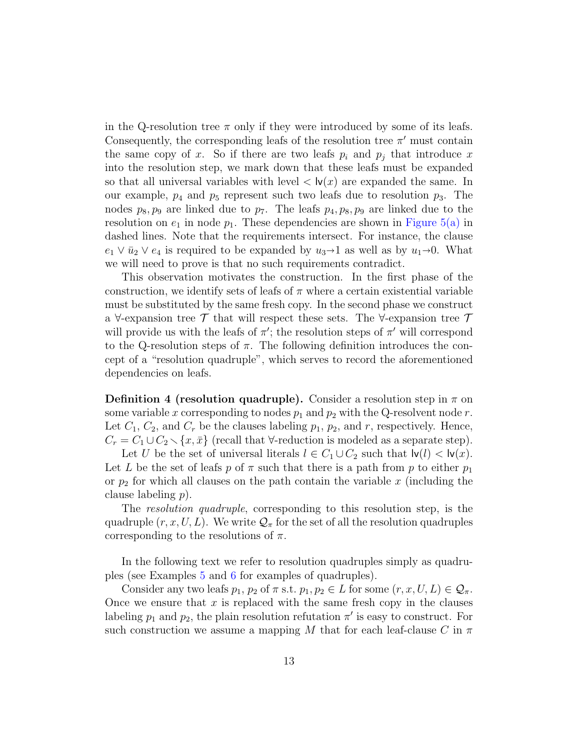in the Q-resolution tree  $\pi$  only if they were introduced by some of its leafs. Consequently, the corresponding leafs of the resolution tree  $\pi'$  must contain the same copy of x. So if there are two leafs  $p_i$  and  $p_j$  that introduce x into the resolution step, we mark down that these leafs must be expanded so that all universal variables with level  $\langle \mathbf{v}(x) \rangle$  are expanded the same. In our example,  $p_4$  and  $p_5$  represent such two leafs due to resolution  $p_3$ . The nodes  $p_8, p_9$  are linked due to  $p_7$ . The leafs  $p_4, p_8, p_9$  are linked due to the resolution on  $e_1$  in node  $p_1$ . These dependencies are shown in [Figure 5\(a\)](#page-11-1) in dashed lines. Note that the requirements intersect. For instance, the clause  $e_1 \vee \overline{u}_2 \vee e_4$  is required to be expanded by  $u_3 \rightarrow 1$  as well as by  $u_1 \rightarrow 0$ . What we will need to prove is that no such requirements contradict.

This observation motivates the construction. In the first phase of the construction, we identify sets of leafs of  $\pi$  where a certain existential variable must be substituted by the same fresh copy. In the second phase we construct a  $\forall$ -expansion tree  $\mathcal T$  that will respect these sets. The  $\forall$ -expansion tree  $\mathcal T$ will provide us with the leafs of  $\pi'$ ; the resolution steps of  $\pi'$  will correspond to the Q-resolution steps of  $\pi$ . The following definition introduces the concept of a "resolution quadruple", which serves to record the aforementioned dependencies on leafs.

**Definition 4 (resolution quadruple).** Consider a resolution step in  $\pi$  on some variable x corresponding to nodes  $p_1$  and  $p_2$  with the Q-resolvent node r. Let  $C_1$ ,  $C_2$ , and  $C_r$  be the clauses labeling  $p_1$ ,  $p_2$ , and r, respectively. Hence,  $C_r = C_1 \cup C_2 \setminus \{x, \bar{x}\}$  (recall that  $\forall$ -reduction is modeled as a separate step).

Let U be the set of universal literals  $l \in C_1 \cup C_2$  such that  $|v(l)| < |v(x)|$ . Let L be the set of leafs p of  $\pi$  such that there is a path from p to either  $p_1$ or  $p_2$  for which all clauses on the path contain the variable x (including the clause labeling p).

The *resolution quadruple*, corresponding to this resolution step, is the quadruple  $(r, x, U, L)$ . We write  $\mathcal{Q}_{\pi}$  for the set of all the resolution quadruples corresponding to the resolutions of  $\pi$ .

In the following text we refer to resolution quadruples simply as quadruples (see Examples [5](#page-14-0) and [6](#page-17-0) for examples of quadruples).

Consider any two leafs  $p_1, p_2$  of  $\pi$  s.t.  $p_1, p_2 \in L$  for some  $(r, x, U, L) \in \mathcal{Q}_{\pi}$ . Once we ensure that  $x$  is replaced with the same fresh copy in the clauses labeling  $p_1$  and  $p_2$ , the plain resolution refutation  $\pi'$  is easy to construct. For such construction we assume a mapping M that for each leaf-clause C in  $\pi$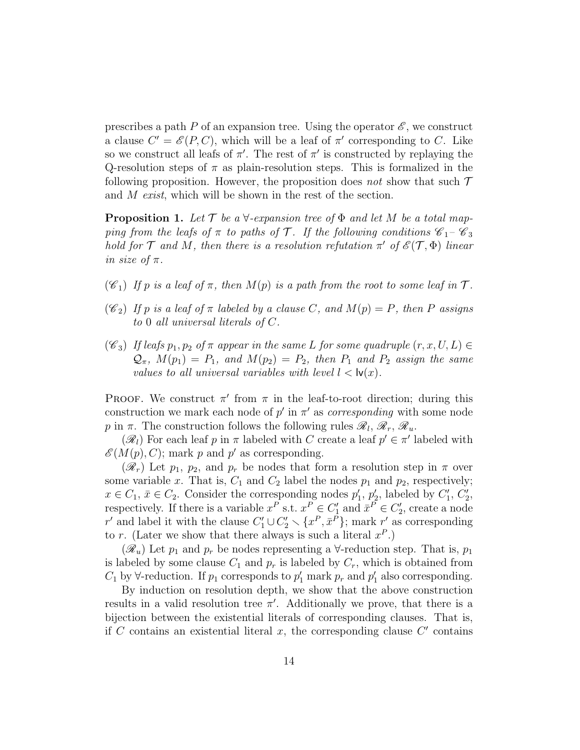prescribes a path P of an expansion tree. Using the operator  $\mathscr{E}$ , we construct a clause  $C' = \mathscr{E}(P, C)$ , which will be a leaf of  $\pi'$  corresponding to C. Like so we construct all leafs of  $\pi'$ . The rest of  $\pi'$  is constructed by replaying the Q-resolution steps of  $\pi$  as plain-resolution steps. This is formalized in the following proposition. However, the proposition does not show that such  $\mathcal T$ and M exist, which will be shown in the rest of the section.

<span id="page-13-0"></span>**Proposition 1.** Let  $\mathcal T$  be a  $\forall$ -expansion tree of  $\Phi$  and let M be a total mapping from the leafs of  $\pi$  to paths of  $\mathcal T$ . If the following conditions  $\mathscr C_1-\mathscr C_3$ hold for  $\mathcal T$  and  $M$ , then there is a resolution refutation  $\pi'$  of  $\mathscr{E}(\mathcal T,\Phi)$  linear in size of  $\pi$ .

- $(\mathscr{C}_1)$  If p is a leaf of  $\pi$ , then  $M(p)$  is a path from the root to some leaf in  $\mathcal{T}$ .
- $(\mathscr{C}_2)$  If p is a leaf of  $\pi$  labeled by a clause C, and  $M(p) = P$ , then P assigns to 0 all universal literals of C.
- $(\mathscr{C}_3)$  If leafs  $p_1, p_2$  of  $\pi$  appear in the same L for some quadruple  $(r, x, U, L) \in$  $\mathcal{Q}_{\pi}$ ,  $M(p_1) = P_1$ , and  $M(p_2) = P_2$ , then  $P_1$  and  $P_2$  assign the same values to all universal variables with level  $l < \mathsf{lv}(x)$ .

PROOF. We construct  $\pi'$  from  $\pi$  in the leaf-to-root direction; during this construction we mark each node of  $p'$  in  $\pi'$  as *corresponding* with some node p in  $\pi$ . The construction follows the following rules  $\mathscr{R}_l$ ,  $\mathscr{R}_r$ ,  $\mathscr{R}_u$ .

 $(\mathscr{R}_l)$  For each leaf p in  $\pi$  labeled with C create a leaf  $p' \in \pi'$  labeled with  $\mathscr{E}(M(p), C)$ ; mark p and p' as corresponding.

 $(\mathscr{R}_r)$  Let  $p_1$ ,  $p_2$ , and  $p_r$  be nodes that form a resolution step in  $\pi$  over some variable x. That is,  $C_1$  and  $C_2$  label the nodes  $p_1$  and  $p_2$ , respectively;  $x \in C_1$ ,  $\bar{x} \in C_2$ . Consider the corresponding nodes  $p'_1$ ,  $p'_2$ , labeled by  $C'_1$ ,  $C'_2$ , respectively. If there is a variable  $x^P$  s.t.  $x^P \in C'_1$  and  $\bar{x}^P \in C'_2$ , create a node r' and label it with the clause  $C'_1 \cup C'_2 \setminus \{x^P, \bar{x}^{\tilde{P}}\}$ ; mark r' as corresponding to r. (Later we show that there always is such a literal  $x^P$ .)

 $(\mathscr{R}_u)$  Let  $p_1$  and  $p_r$  be nodes representing a  $\forall$ -reduction step. That is,  $p_1$ is labeled by some clause  $C_1$  and  $p_r$  is labeled by  $C_r$ , which is obtained from  $C_1$  by  $\forall$ -reduction. If  $p_1$  corresponds to  $p'_1$  mark  $p_r$  and  $p'_1$  also corresponding.

By induction on resolution depth, we show that the above construction results in a valid resolution tree  $\pi'$ . Additionally we prove, that there is a bijection between the existential literals of corresponding clauses. That is, if  $C$  contains an existential literal  $x$ , the corresponding clause  $C'$  contains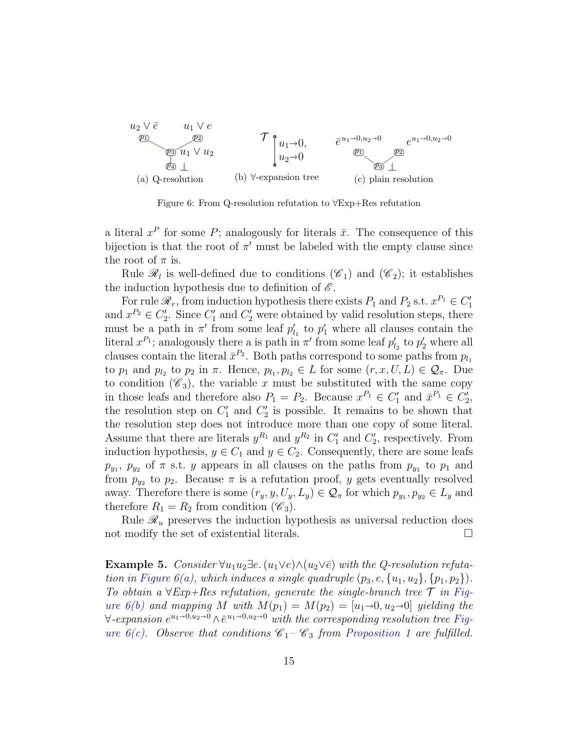<span id="page-14-1"></span>

<span id="page-14-3"></span><span id="page-14-2"></span>Figure 6: From Q-resolution refutation to ∀Exp+Res refutation

a literal  $x^P$  for some P; analogously for literals  $\bar{x}$ . The consequence of this bijection is that the root of  $\pi'$  must be labeled with the empty clause since the root of  $\pi$  is.

Rule  $\mathcal{R}_l$  is well-defined due to conditions  $(\mathscr{C}_1)$  and  $(\mathscr{C}_2)$ ; it establishes the induction hypothesis due to definition of  $\mathscr E$ .

For rule  $\mathcal{R}_r$ , from induction hypothesis there exists  $P_1$  and  $P_2$  s.t.  $x^{P_1} \in C'_1$ and  $x^{P_2} \in C'_2$ . Since  $C'_1$  and  $C'_2$  were obtained by valid resolution steps, there must be a path in  $\pi'$  from some leaf  $p'_{l_1}$  to  $p'_1$  where all clauses contain the literal  $x^{P_1}$ ; analogously there a is path in  $\pi'$  from some leaf  $p'_{l_2}$  to  $p'_2$  where all clauses contain the literal  $\bar{x}^{P_2}$ . Both paths correspond to some paths from  $p_{l_1}$ to  $p_1$  and  $p_{l_2}$  to  $p_2$  in  $\pi$ . Hence,  $p_{l_1}, p_{l_2} \in L$  for some  $(r, x, U, L) \in \mathcal{Q}_{\pi}$ . Due to condition  $(\mathscr{C}_3)$ , the variable x must be substituted with the same copy in those leafs and therefore also  $P_1 = P_2$ . Because  $x^{P_1} \in C'_1$  and  $\bar{x}^{P_1} \in C'_2$ , the resolution step on  $C_1'$  and  $C_2'$  is possible. It remains to be shown that the resolution step does not introduce more than one copy of some literal. Assume that there are literals  $y^{R_1}$  and  $y^{R_2}$  in  $C'_1$  and  $C'_2$ , respectively. From induction hypothesis,  $y \in C_1$  and  $y \in C_2$ . Consequently, there are some leafs  $p_{y_1}, p_{y_2}$  of  $\pi$  s.t. y appears in all clauses on the paths from  $p_{y_1}$  to  $p_1$  and from  $p_{y_2}$  to  $p_2$ . Because  $\pi$  is a refutation proof, y gets eventually resolved away. Therefore there is some  $(r_y, y, U_y, L_y) \in \mathcal{Q}_{\pi}$  for which  $p_{y_1}, p_{y_2} \in L_y$  and therefore  $R_1 = R_2$  from condition  $(\mathscr{C}_3)$ .

Rule  $\mathcal{R}_u$  preserves the induction hypothesis as universal reduction does not modify the set of existential literals.  $\Box$ 

<span id="page-14-0"></span>**Example 5.** Consider  $\forall u_1u_2\exists e \ (u_1 \lor e) \land (u_2 \lor e)$  with the Q-resolution refutation in Figure  $6(a)$ , which induces a single quadruple  $(p_3, e, \{u_1, u_2\}, \{p_1, p_2\})$ . To obtain a  $\forall Exp+Res$  refutation, generate the single-branch tree  $\mathcal T$  in [Fig](#page-14-2)ure  $6(b)$  and mapping M with  $M(p_1) = M(p_2) = [u_1 \rightarrow 0, u_2 \rightarrow 0]$  yielding the  $\forall$ -expansion  $e^{u_1 \rightarrow 0, u_2 \rightarrow 0} \wedge \overline{e}^{u_1 \rightarrow 0, u_2 \rightarrow 0}$  with the corresponding resolution tree [Fig](#page-14-3)ure  $6(c)$ . Observe that conditions  $\mathcal{C}_1-\mathcal{C}_3$  from [Proposition 1](#page-13-0) are fulfilled.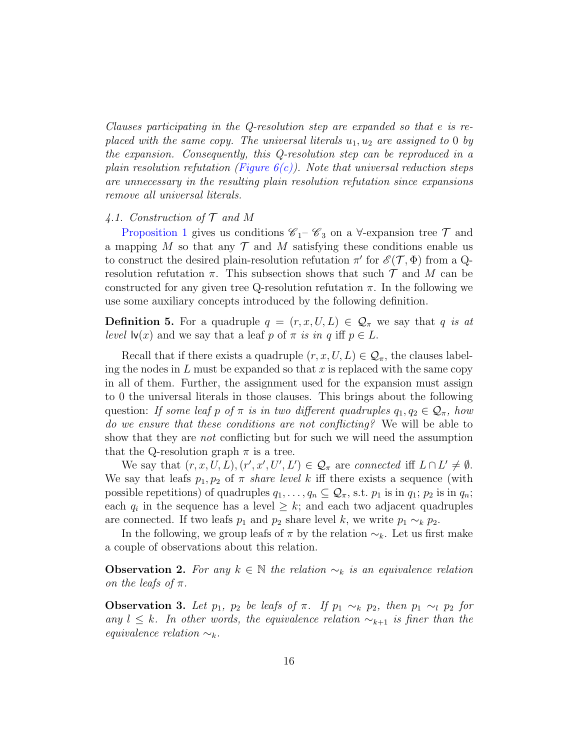Clauses participating in the Q-resolution step are expanded so that e is replaced with the same copy. The universal literals  $u_1, u_2$  are assigned to 0 by the expansion. Consequently, this Q-resolution step can be reproduced in a plain resolution refutation (Figure  $6(c)$ ). Note that universal reduction steps are unnecessary in the resulting plain resolution refutation since expansions remove all universal literals.

# 4.1. Construction of  $\mathcal T$  and  $M$

[Proposition 1](#page-13-0) gives us conditions  $\mathscr{C}_1$ –  $\mathscr{C}_3$  on a  $\forall$ -expansion tree  $\mathcal T$  and a mapping M so that any  $\mathcal T$  and M satisfying these conditions enable us to construct the desired plain-resolution refutation  $\pi'$  for  $\mathscr{E}(\mathcal{T}, \Phi)$  from a Qresolution refutation  $\pi$ . This subsection shows that such  $\mathcal T$  and  $M$  can be constructed for any given tree Q-resolution refutation  $\pi$ . In the following we use some auxiliary concepts introduced by the following definition.

**Definition 5.** For a quadruple  $q = (r, x, U, L) \in \mathcal{Q}_{\pi}$  we say that q is at level  $\mathsf{lv}(x)$  and we say that a leaf p of  $\pi$  is in q iff  $p \in L$ .

Recall that if there exists a quadruple  $(r, x, U, L) \in \mathcal{Q}_{\pi}$ , the clauses labeling the nodes in  $L$  must be expanded so that  $x$  is replaced with the same copy in all of them. Further, the assignment used for the expansion must assign to 0 the universal literals in those clauses. This brings about the following question: If some leaf p of  $\pi$  is in two different quadruples  $q_1, q_2 \in \mathcal{Q}_{\pi}$ , how do we ensure that these conditions are not conflicting? We will be able to show that they are *not* conflicting but for such we will need the assumption that the Q-resolution graph  $\pi$  is a tree.

We say that  $(r, x, U, L), (r', x', U', L') \in \mathcal{Q}_{\pi}$  are connected iff  $L \cap L' \neq \emptyset$ . We say that leafs  $p_1, p_2$  of  $\pi$  *share level k* iff there exists a sequence (with possible repetitions) of quadruples  $q_1, \ldots, q_n \subseteq \mathcal{Q}_{\pi}$ , s.t.  $p_1$  is in  $q_1$ ;  $p_2$  is in  $q_n$ ; each  $q_i$  in the sequence has a level  $\geq k$ ; and each two adjacent quadruples are connected. If two leafs  $p_1$  and  $p_2$  share level k, we write  $p_1 \sim_k p_2$ .

In the following, we group leafs of  $\pi$  by the relation  $\sim_k$ . Let us first make a couple of observations about this relation.

**Observation 2.** For any  $k \in \mathbb{N}$  the relation  $\sim_k$  is an equivalence relation on the leafs of  $\pi$ .

<span id="page-15-0"></span>**Observation 3.** Let  $p_1$ ,  $p_2$  be leafs of  $\pi$ . If  $p_1 \sim_k p_2$ , then  $p_1 \sim_l p_2$  for any  $l \leq k$ . In other words, the equivalence relation  $\sim_{k+1}$  is finer than the equivalence relation  $\sim_k$ .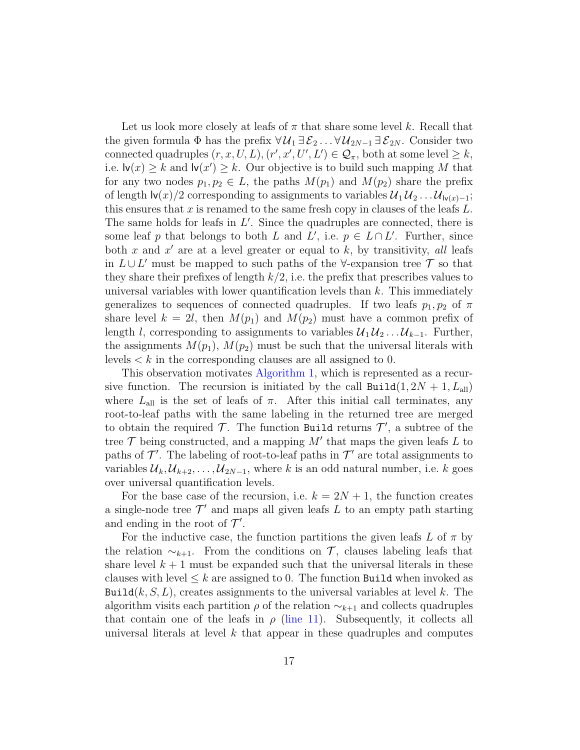Let us look more closely at leafs of  $\pi$  that share some level k. Recall that the given formula  $\Phi$  has the prefix  $\forall \mathcal{U}_1 \exists \mathcal{E}_2 \dots \forall \mathcal{U}_{2N-1} \exists \mathcal{E}_{2N}$ . Consider two connected quadruples  $(r, x, U, L), (r', x', U', L') \in \mathcal{Q}_{\pi}$ , both at some level  $\geq k$ , i.e.  $\mathsf{lv}(x) \geq k$  and  $\mathsf{lv}(x') \geq k$ . Our objective is to build such mapping M that for any two nodes  $p_1, p_2 \in L$ , the paths  $M(p_1)$  and  $M(p_2)$  share the prefix of length  $\vert \mathsf{v}(x)/2$  corresponding to assignments to variables  $\mathcal{U}_1 \mathcal{U}_2 \dots \mathcal{U}_{\vert \mathsf{v}(x)-1}$ ; this ensures that x is renamed to the same fresh copy in clauses of the leafs  $L$ . The same holds for leafs in  $L'$ . Since the quadruples are connected, there is some leaf p that belongs to both L and L', i.e.  $p \in L \cap L'$ . Further, since both x and  $x'$  are at a level greater or equal to k, by transitivity, all leafs in  $L \cup L'$  must be mapped to such paths of the ∀-expansion tree  $\mathcal T$  so that they share their prefixes of length  $k/2$ , i.e. the prefix that prescribes values to universal variables with lower quantification levels than  $k$ . This immediately generalizes to sequences of connected quadruples. If two leafs  $p_1, p_2$  of  $\pi$ share level  $k = 2l$ , then  $M(p_1)$  and  $M(p_2)$  must have a common prefix of length l, corresponding to assignments to variables  $\mathcal{U}_1 \mathcal{U}_2 \dots \mathcal{U}_{k-1}$ . Further, the assignments  $M(p_1), M(p_2)$  must be such that the universal literals with levels  $\lt k$  in the corresponding clauses are all assigned to 0.

This observation motivates [Algorithm 1,](#page-17-1) which is represented as a recursive function. The recursion is initiated by the call  $\text{Build}(1, 2N + 1, L_{all})$ where  $L_{all}$  is the set of leafs of  $\pi$ . After this initial call terminates, any root-to-leaf paths with the same labeling in the returned tree are merged to obtain the required  $\mathcal T$ . The function Build returns  $\mathcal T',$  a subtree of the tree  $\mathcal T$  being constructed, and a mapping  $M'$  that maps the given leafs  $L$  to paths of  $\mathcal{T}'$ . The labeling of root-to-leaf paths in  $\mathcal{T}'$  are total assignments to variables  $\mathcal{U}_k, \mathcal{U}_{k+2}, \ldots, \mathcal{U}_{2N-1}$ , where k is an odd natural number, i.e. k goes over universal quantification levels.

For the base case of the recursion, i.e.  $k = 2N + 1$ , the function creates a single-node tree  $\mathcal{T}'$  and maps all given leafs L to an empty path starting and ending in the root of  $\mathcal{T}'$ .

For the inductive case, the function partitions the given leafs L of  $\pi$  by the relation  $\sim_{k+1}$ . From the conditions on T, clauses labeling leafs that share level  $k + 1$  must be expanded such that the universal literals in these clauses with level  $\leq k$  are assigned to 0. The function Build when invoked as Build $(k, S, L)$ , creates assignments to the universal variables at level k. The algorithm visits each partition  $\rho$  of the relation  $\sim_{k+1}$  and collects quadruples that contain one of the leafs in  $\rho$  [\(line 11\)](#page-17-2). Subsequently, it collects all universal literals at level  $k$  that appear in these quadruples and computes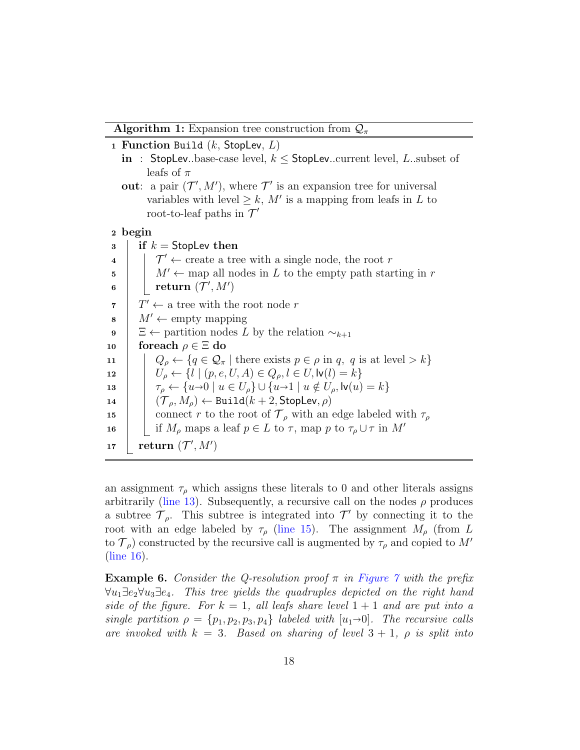**Algorithm 1:** Expansion tree construction from  $\mathcal{Q}_{\pi}$ 

```
1 Function Build (k, StopL)
```
- in : StopLev..base-case level,  $k \leq$  StopLev..current level, L..subset of leafs of  $\pi$
- out: a pair  $(\mathcal{T}', M')$ , where  $\mathcal{T}'$  is an expansion tree for universal variables with level  $\geq k$ , M' is a mapping from leafs in L to root-to-leaf paths in  $\mathcal{T}'$

```
2 begin
```
<span id="page-17-7"></span><span id="page-17-2"></span> $3 \parallel$  if  $k =$  StopLev then  $\begin{array}{c} 4 \end{array}$   $\begin{array}{c} \end{array}$   $\begin{array}{c} \mathcal{T}' \leftarrow \text{create a tree with a single node, the root } r \end{array}$  $5 \mid N' \leftarrow$  map all nodes in L to the empty path starting in r  $\begin{array}{|c|c|}\n\hline\n\text{6} & \text{return } (\mathcal{T}', M')\n\end{array}$ 7  $T' \leftarrow$  a tree with the root node r  $\mathbf{s} \mid M' \leftarrow \text{empty mapping}$ 9 |  $\Xi$  ← partition nodes L by the relation  $\sim_{k+1}$ 10 for each  $\rho \in \Xi$  do 11  $\left\{\n\begin{array}{c}\n\end{array}\n\right.\n\left.\n\left.\n\begin{array}{c}\n\end{array}\right\right\}$   $Q_{\rho} \leftarrow \{q \in \mathcal{Q}_{\pi} \mid \text{there exists } p \in \rho \text{ in } q, q \text{ is at level } > k\}\n\end{array}$ 12  $|U_{\rho} \leftarrow \{l \mid (p, e, U, A) \in Q_{\rho}, l \in U, \mathsf{lv}(l) = k\}$ 13  $\tau_{\rho} \leftarrow \{u \rightarrow 0 \mid u \in U_{\rho}\} \cup \{u \rightarrow 1 \mid u \notin U_{\rho}, \mathsf{lv}(u) = k\}$ <br>
14  $(\mathcal{T}_{\rho}, M_{\rho}) \leftarrow \text{Build}(k+2, \text{Stoolev}, \rho)$  $(\mathcal{T}_\rho, M_\rho) \leftarrow \texttt{Build}(k+2, \texttt{StopLev}, \rho)$ 15 connect r to the root of  $\mathcal{T}_{\rho}$  with an edge labeled with  $\tau_{\rho}$ 16 | if  $M_\rho$  maps a leaf  $p \in L$  to  $\tau$ , map p to  $\tau_\rho \cup \tau$  in  $M'$  $\begin{array}{|l|} \textbf{17} & \textbf{return } (\mathcal{T}', M') \end{array}$ 

<span id="page-17-6"></span><span id="page-17-5"></span><span id="page-17-4"></span><span id="page-17-3"></span>an assignment  $\tau_{\rho}$  which assigns these literals to 0 and other literals assigns arbitrarily [\(line 13\)](#page-17-3). Subsequently, a recursive call on the nodes  $\rho$  produces a subtree  $\mathcal{T}_{\rho}$ . This subtree is integrated into  $\mathcal{T}'$  by connecting it to the root with an edge labeled by  $\tau_{\rho}$  [\(line 15\)](#page-17-4). The assignment  $M_{\rho}$  (from L to  $\mathcal{T}_{\rho}$ ) constructed by the recursive call is augmented by  $\tau_{\rho}$  and copied to M' [\(line 16\)](#page-17-5).

<span id="page-17-0"></span>**Example 6.** Consider the Q-resolution proof  $\pi$  in [Figure 7](#page-18-0) with the prefix  $\forall u_1 \exists e_2 \forall u_3 \exists e_4$ . This tree yields the quadruples depicted on the right hand side of the figure. For  $k = 1$ , all leafs share level  $1 + 1$  and are put into a single partition  $\rho = \{p_1, p_2, p_3, p_4\}$  labeled with  $[u_1\rightarrow 0]$ . The recursive calls are invoked with  $k = 3$ . Based on sharing of level  $3 + 1$ ,  $\rho$  is split into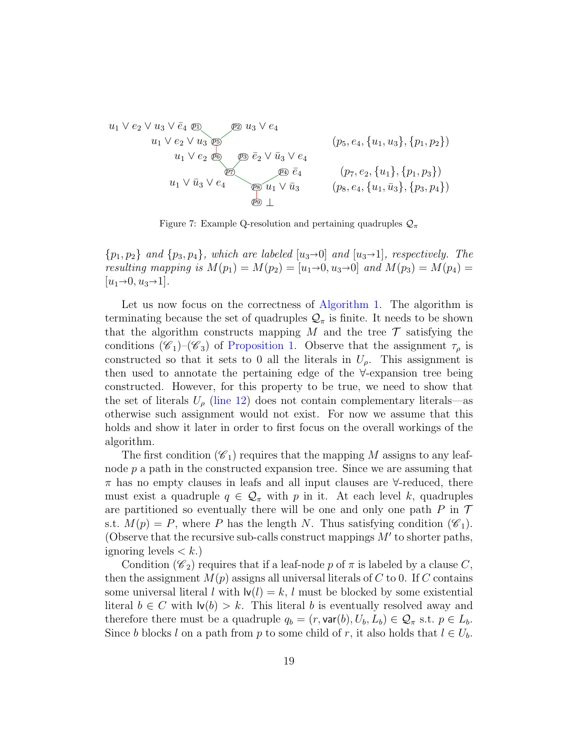$$
u_1 \vee e_2 \vee u_3 \vee \bar{e}_4 \n\underbrace{v_1} \vee e_2 \vee u_3 \n\underbrace{v_3} \wedge e_4
$$
\n
$$
u_1 \vee e_2 \vee u_3 \n\underbrace{v_3} \wedge e_4
$$
\n
$$
u_1 \vee v_2 \n\underbrace{v_3} \wedge e_4
$$
\n
$$
u_1 \vee \bar{u}_3 \vee e_4
$$
\n
$$
u_1 \vee \bar{u}_3 \vee e_4
$$
\n
$$
u_1 \vee \bar{u}_3 \vee e_4
$$
\n
$$
u_1 \vee \bar{u}_3 \vee e_4
$$
\n
$$
u_1 \vee \bar{u}_3 \vee e_4
$$
\n
$$
u_1 \vee \bar{u}_3 \vee e_4
$$
\n
$$
u_1 \vee \bar{u}_3 \vee e_4
$$
\n
$$
u_1 \vee \bar{u}_3 \vee e_4
$$
\n
$$
u_1 \vee \bar{u}_3 \vee e_4
$$
\n
$$
u_1 \vee \bar{u}_3 \vee e_4
$$
\n
$$
u_1 \vee \bar{u}_3 \vee e_4
$$
\n
$$
u_1 \vee \bar{u}_3
$$
\n
$$
u_1 \vee \bar{u}_3
$$
\n
$$
u_1 \vee \bar{u}_3
$$
\n
$$
u_1 \vee \bar{u}_3
$$
\n
$$
u_1 \vee \bar{u}_3
$$
\n
$$
u_1 \vee \bar{u}_3
$$
\n
$$
u_1 \vee \bar{u}_3
$$
\n
$$
u_1 \vee \bar{u}_3
$$
\n
$$
u_1 \vee \bar{u}_3
$$
\n
$$
u_1 \vee \bar{u}_3
$$
\n
$$
u_1 \vee \bar{u}_3
$$
\n
$$
u_1 \vee \bar{u}_3
$$
\n
$$
u_1 \vee \bar{u}_3
$$
\n
$$
u_1 \vee \bar{u}_3
$$
\n<

<span id="page-18-0"></span>Figure 7: Example Q-resolution and pertaining quadruples  $\mathcal{Q}_{\pi}$ 

 $\{p_1, p_2\}$  and  $\{p_3, p_4\}$ , which are labeled  $[u_3\rightarrow 0]$  and  $[u_3\rightarrow 1]$ , respectively. The resulting mapping is  $M(p_1) = M(p_2) = [u_1 \to 0, u_3 \to 0]$  and  $M(p_3) = M(p_4) =$  $|u_1\rightarrow 0, u_3\rightarrow 1|$ .

Let us now focus on the correctness of [Algorithm 1.](#page-17-1) The algorithm is terminating because the set of quadruples  $\mathcal{Q}_{\pi}$  is finite. It needs to be shown that the algorithm constructs mapping M and the tree  $\mathcal T$  satisfying the conditions  $(\mathscr{C}_1)$ – $(\mathscr{C}_3)$  of [Proposition 1.](#page-13-0) Observe that the assignment  $\tau_\rho$  is constructed so that it sets to 0 all the literals in  $U_{\rho}$ . This assignment is then used to annotate the pertaining edge of the ∀-expansion tree being constructed. However, for this property to be true, we need to show that the set of literals  $U_{\rho}$  [\(line 12\)](#page-17-6) does not contain complementary literals—as otherwise such assignment would not exist. For now we assume that this holds and show it later in order to first focus on the overall workings of the algorithm.

The first condition  $(\mathscr{C}_1)$  requires that the mapping M assigns to any leafnode  $p$  a path in the constructed expansion tree. Since we are assuming that  $\pi$  has no empty clauses in leafs and all input clauses are  $\forall$ -reduced, there must exist a quadruple  $q \in \mathcal{Q}_{\pi}$  with p in it. At each level k, quadruples are partitioned so eventually there will be one and only one path  $P$  in  $\mathcal T$ s.t.  $M(p) = P$ , where P has the length N. Thus satisfying condition  $(\mathscr{C}_1)$ . (Observe that the recursive sub-calls construct mappings  $M'$  to shorter paths, ignoring levels  $\lt k$ .)

Condition ( $\mathscr{C}_2$ ) requires that if a leaf-node p of  $\pi$  is labeled by a clause C, then the assignment  $M(p)$  assigns all universal literals of C to 0. If C contains some universal literal l with  $\mathsf{I} \mathsf{v}(l) = k$ , l must be blocked by some existential literal  $b \in C$  with  $\mathsf{Iv}(b) > k$ . This literal b is eventually resolved away and therefore there must be a quadruple  $q_b = (r, \text{var}(b), U_b, L_b) \in \mathcal{Q}_{\pi}$  s.t.  $p \in L_b$ . Since b blocks l on a path from p to some child of r, it also holds that  $l \in U_b$ .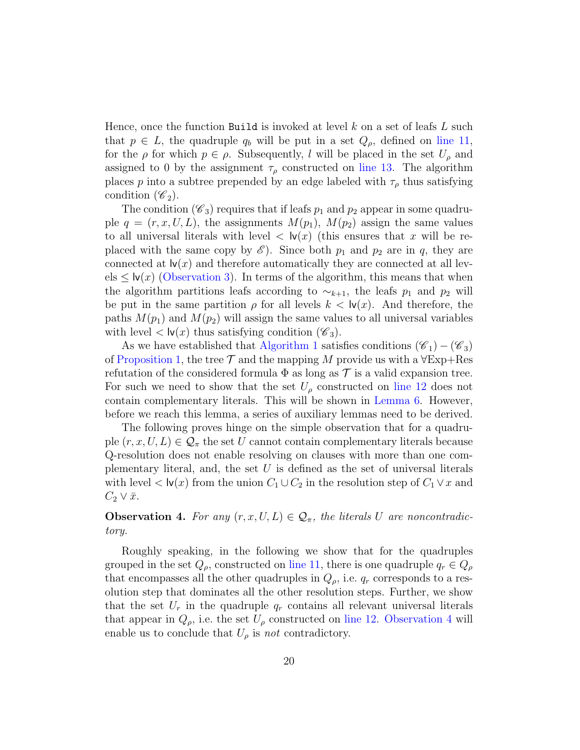Hence, once the function Build is invoked at level k on a set of leafs  $L$  such that  $p \in L$ , the quadruple  $q_b$  will be put in a set  $Q_\rho$ , defined on [line 11,](#page-17-2) for the  $\rho$  for which  $p \in \rho$ . Subsequently, l will be placed in the set  $U_{\rho}$  and assigned to 0 by the assignment  $\tau_{\rho}$  constructed on [line 13.](#page-17-3) The algorithm places p into a subtree prepended by an edge labeled with  $\tau_{\rho}$  thus satisfying condition  $(\mathscr{C}_2)$ .

The condition ( $\mathscr{C}_3$ ) requires that if leafs  $p_1$  and  $p_2$  appear in some quadruple  $q = (r, x, U, L)$ , the assignments  $M(p_1)$ ,  $M(p_2)$  assign the same values to all universal literals with level  $\langle \mathbf{v}(x) \rangle$  (this ensures that x will be replaced with the same copy by  $\mathscr{E}$ . Since both  $p_1$  and  $p_2$  are in q, they are connected at  $\mathsf{lv}(x)$  and therefore automatically they are connected at all lev $els \leq \mathsf{lv}(x)$  [\(Observation 3\)](#page-15-0). In terms of the algorithm, this means that when the algorithm partitions leafs according to  $\sim_{k+1}$ , the leafs  $p_1$  and  $p_2$  will be put in the same partition  $\rho$  for all levels  $k < \mathsf{lv}(x)$ . And therefore, the paths  $M(p_1)$  and  $M(p_2)$  will assign the same values to all universal variables with level  $\langle \mathbf{w}(x) \rangle$  thus satisfying condition  $(\mathscr{C}_3)$ .

As we have established that [Algorithm 1](#page-17-1) satisfies conditions  $(\mathscr{C}_1) - (\mathscr{C}_3)$ of [Proposition 1,](#page-13-0) the tree  $\mathcal T$  and the mapping M provide us with a  $\forall$ Exp+Res refutation of the considered formula  $\Phi$  as long as  $\mathcal T$  is a valid expansion tree. For such we need to show that the set  $U_{\rho}$  constructed on [line 12](#page-17-6) does not contain complementary literals. This will be shown in [Lemma 6.](#page-23-0) However, before we reach this lemma, a series of auxiliary lemmas need to be derived.

The following proves hinge on the simple observation that for a quadruple  $(r, x, U, L) \in \mathcal{Q}_{\pi}$  the set U cannot contain complementary literals because Q-resolution does not enable resolving on clauses with more than one complementary literal, and, the set  $U$  is defined as the set of universal literals with level  $\lt \mathsf{lv}(x)$  from the union  $C_1 \cup C_2$  in the resolution step of  $C_1 \vee x$  and  $C_2 \vee \bar{x}.$ 

# <span id="page-19-0"></span>**Observation 4.** For any  $(r, x, U, L) \in \mathcal{Q}_{\pi}$ , the literals U are noncontradictory.

Roughly speaking, in the following we show that for the quadruples grouped in the set  $Q_{\rho}$ , constructed on [line 11,](#page-17-2) there is one quadruple  $q_r \in Q_{\rho}$ that encompasses all the other quadruples in  $Q_{\rho}$ , i.e.  $q_r$  corresponds to a resolution step that dominates all the other resolution steps. Further, we show that the set  $U_r$  in the quadruple  $q_r$  contains all relevant universal literals that appear in  $Q_{\rho}$ , i.e. the set  $U_{\rho}$  constructed on [line 12.](#page-17-6) [Observation 4](#page-19-0) will enable us to conclude that  $U_{\rho}$  is not contradictory.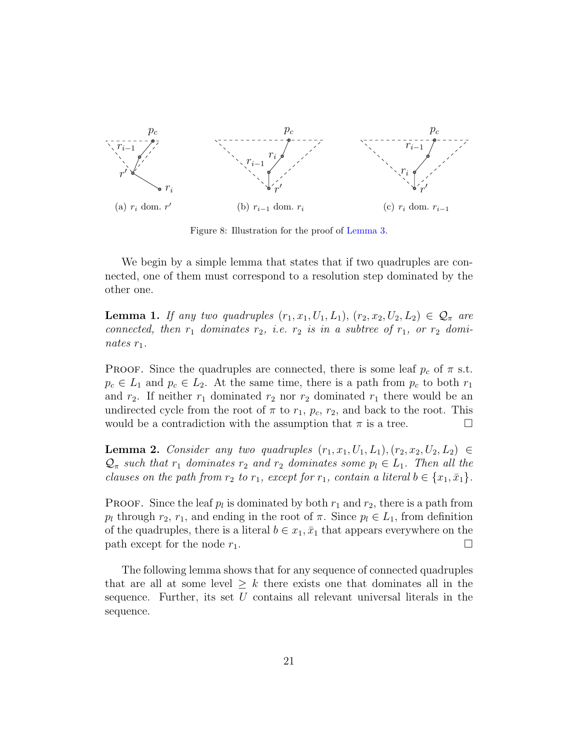<span id="page-20-1"></span>

<span id="page-20-5"></span><span id="page-20-4"></span>Figure 8: Illustration for the proof of [Lemma 3.](#page-20-0)

We begin by a simple lemma that states that if two quadruples are connected, one of them must correspond to a resolution step dominated by the other one.

<span id="page-20-3"></span>**Lemma 1.** If any two quadruples  $(r_1, x_1, U_1, L_1), (r_2, x_2, U_2, L_2) \in \mathcal{Q}_{\pi}$  are connected, then  $r_1$  dominates  $r_2$ , i.e.  $r_2$  is in a subtree of  $r_1$ , or  $r_2$  dominates  $r_1$ .

**PROOF.** Since the quadruples are connected, there is some leaf  $p_c$  of  $\pi$  s.t.  $p_c \in L_1$  and  $p_c \in L_2$ . At the same time, there is a path from  $p_c$  to both  $r_1$ and  $r_2$ . If neither  $r_1$  dominated  $r_2$  nor  $r_2$  dominated  $r_1$  there would be an undirected cycle from the root of  $\pi$  to  $r_1$ ,  $p_c$ ,  $r_2$ , and back to the root. This would be a contradiction with the assumption that  $\pi$  is a tree.

<span id="page-20-2"></span>**Lemma 2.** Consider any two quadruples  $(r_1, x_1, U_1, L_1), (r_2, x_2, U_2, L_2) \in$  $\mathcal{Q}_{\pi}$  such that  $r_1$  dominates  $r_2$  and  $r_2$  dominates some  $p_l \in L_1$ . Then all the clauses on the path from  $r_2$  to  $r_1$ , except for  $r_1$ , contain a literal  $b \in \{x_1, \bar{x}_1\}$ .

**PROOF.** Since the leaf  $p_l$  is dominated by both  $r_1$  and  $r_2$ , there is a path from  $p_l$  through  $r_2$ ,  $r_1$ , and ending in the root of  $\pi$ . Since  $p_l \in L_1$ , from definition of the quadruples, there is a literal  $b \in x_1, \bar{x}_1$  that appears everywhere on the path except for the node  $r_1$ .

<span id="page-20-0"></span>The following lemma shows that for any sequence of connected quadruples that are all at some level  $\geq k$  there exists one that dominates all in the sequence. Further, its set  $U$  contains all relevant universal literals in the sequence.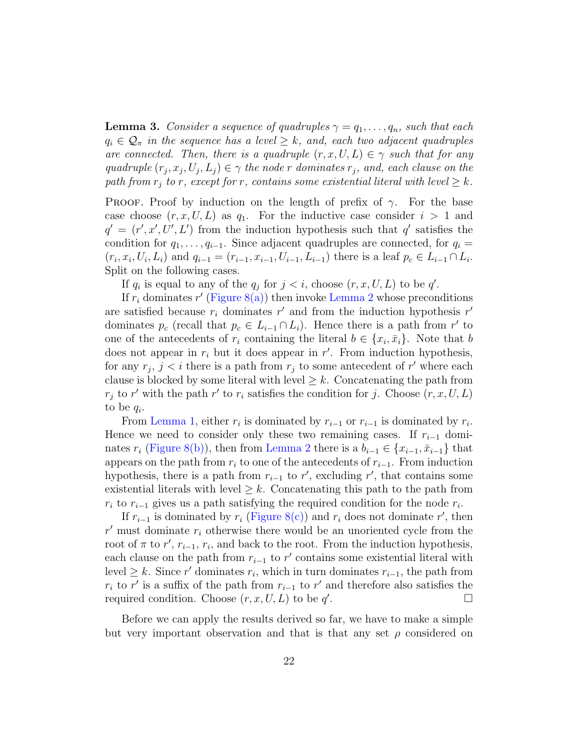**Lemma 3.** Consider a sequence of quadruples  $\gamma = q_1, \ldots, q_n$ , such that each  $q_i \in \mathcal{Q}_{\pi}$  in the sequence has a level  $\geq k$ , and, each two adjacent quadruples are connected. Then, there is a quadruple  $(r, x, U, L) \in \gamma$  such that for any quadruple  $(r_j, x_j, U_j, L_j) \in \gamma$  the node r dominates  $r_j$ , and, each clause on the path from  $r_j$  to r, except for r, contains some existential literal with level  $\geq k$ .

**PROOF.** Proof by induction on the length of prefix of  $\gamma$ . For the base case choose  $(r, x, U, L)$  as  $q_1$ . For the inductive case consider  $i > 1$  and  $q' = (r', x', U', L')$  from the induction hypothesis such that q' satisfies the condition for  $q_1, \ldots, q_{i-1}$ . Since adjacent quadruples are connected, for  $q_i =$  $(r_i, x_i, U_i, L_i)$  and  $q_{i-1} = (r_{i-1}, x_{i-1}, U_{i-1}, L_{i-1})$  there is a leaf  $p_c \in L_{i-1} \cap L_i$ . Split on the following cases.

If  $q_i$  is equal to any of the  $q_j$  for  $j < i$ , choose  $(r, x, U, L)$  to be q'.

If  $r_i$  dominates  $r'$  [\(Figure 8\(a\)\)](#page-20-1) then invoke [Lemma 2](#page-20-2) whose preconditions are satisfied because  $r_i$  dominates  $r'$  and from the induction hypothesis  $r'$ dominates  $p_c$  (recall that  $p_c \in L_{i-1} \cap L_i$ ). Hence there is a path from r' to one of the antecedents of  $r_i$  containing the literal  $b \in \{x_i, \bar{x}_i\}$ . Note that b does not appear in  $r_i$  but it does appear in  $r'$ . From induction hypothesis, for any  $r_j$ ,  $j < i$  there is a path from  $r_j$  to some antecedent of r' where each clause is blocked by some literal with level  $\geq k$ . Concatenating the path from  $r_j$  to r' with the path r' to  $r_i$  satisfies the condition for j. Choose  $(r, x, U, L)$ to be  $q_i$ .

From [Lemma 1,](#page-20-3) either  $r_i$  is dominated by  $r_{i-1}$  or  $r_{i-1}$  is dominated by  $r_i$ . Hence we need to consider only these two remaining cases. If  $r_{i-1}$  dominates  $r_i$  [\(Figure 8\(b\)\)](#page-20-4), then from [Lemma 2](#page-20-2) there is a  $b_{i-1} \in \{x_{i-1}, \bar{x}_{i-1}\}\$  that appears on the path from  $r_i$  to one of the antecedents of  $r_{i-1}$ . From induction hypothesis, there is a path from  $r_{i-1}$  to r', excluding r', that contains some existential literals with level  $\geq k$ . Concatenating this path to the path from  $r_i$  to  $r_{i-1}$  gives us a path satisfying the required condition for the node  $r_i$ .

If  $r_{i-1}$  is dominated by  $r_i$  [\(Figure 8\(c\)\)](#page-20-5) and  $r_i$  does not dominate r', then  $r'$  must dominate  $r_i$  otherwise there would be an unoriented cycle from the root of  $\pi$  to  $r'$ ,  $r_{i-1}$ ,  $r_i$ , and back to the root. From the induction hypothesis, each clause on the path from  $r_{i-1}$  to r' contains some existential literal with level  $\geq k$ . Since r' dominates r<sub>i</sub>, which in turn dominates r<sub>i-1</sub>, the path from  $r_i$  to r' is a suffix of the path from  $r_{i-1}$  to r' and therefore also satisfies the required condition. Choose  $(r, x, U, L)$  to be q' . — Первый процесс в постановки программа в серверном становки производительно становки производительно станов<br>В серверном становки производительно становки производительно становки производительно становки производительн

Before we can apply the results derived so far, we have to make a simple but very important observation and that is that any set  $\rho$  considered on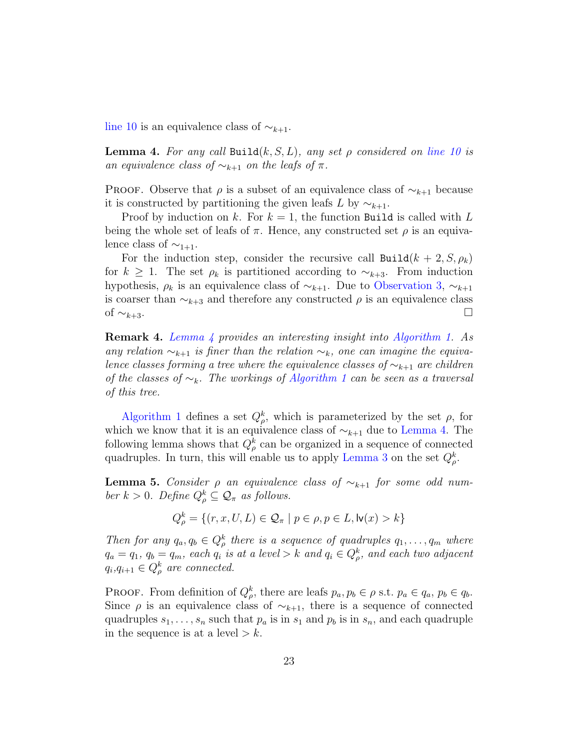<span id="page-22-0"></span>[line 10](#page-17-7) is an equivalence class of  $\sim_{k+1}$ .

**Lemma 4.** For any call Build $(k, S, L)$ , any set  $\rho$  considered on [line 10](#page-17-7) is an equivalence class of  $\sim_{k+1}$  on the leafs of  $\pi$ .

PROOF. Observe that  $\rho$  is a subset of an equivalence class of  $\sim_{k+1}$  because it is constructed by partitioning the given leafs L by  $\sim_{k+1}$ .

Proof by induction on k. For  $k = 1$ , the function Build is called with L being the whole set of leafs of  $\pi$ . Hence, any constructed set  $\rho$  is an equivalence class of  $\sim_{1+1}$ .

For the induction step, consider the recursive call  $\text{Build}(k + 2, S, \rho_k)$ for  $k \geq 1$ . The set  $\rho_k$  is partitioned according to  $\sim_{k+3}$ . From induction hypothesis,  $\rho_k$  is an equivalence class of  $\sim_{k+1}$ . Due to [Observation 3,](#page-15-0)  $\sim_{k+1}$ is coarser than  $\sim_{k+3}$  and therefore any constructed  $\rho$  is an equivalence class of  $\sim_{k+3}$ . □

Remark 4. [Lemma 4](#page-22-0) provides an interesting insight into [Algorithm 1.](#page-17-1) As any relation  $\sim_{k+1}$  is finer than the relation  $\sim_k$ , one can imagine the equivalence classes forming a tree where the equivalence classes of  $\sim_{k+1}$  are children of the classes of  $\sim_k$ . The workings of [Algorithm 1](#page-17-1) can be seen as a traversal of this tree.

[Algorithm 1](#page-17-1) defines a set  $Q_{\rho}^k$ , which is parameterized by the set  $\rho$ , for which we know that it is an equivalence class of  $\sim_{k+1}$  due to [Lemma 4.](#page-22-0) The following lemma shows that  $Q_{\rho}^{k}$  can be organized in a sequence of connected quadruples. In turn, this will enable us to apply [Lemma 3](#page-20-0) on the set  $Q_{\rho}^{k}$ .

<span id="page-22-1"></span>**Lemma 5.** Consider  $\rho$  an equivalence class of  $\sim_{k+1}$  for some odd number  $k > 0$ . Define  $Q_{\rho}^k \subseteq \mathcal{Q}_{\pi}$  as follows.

$$
Q_{\rho}^{k} = \{(r, x, U, L) \in \mathcal{Q}_{\pi} \mid p \in \rho, p \in L, \text{lv}(x) > k\}
$$

Then for any  $q_a, q_b \in Q^k$  there is a sequence of quadruples  $q_1, \ldots, q_m$  where  $q_a = q_1, q_b = q_m$ , each  $q_i$  is at a level > k and  $q_i \in Q^k_\rho$ , and each two adjacent  $q_i, q_{i+1} \in Q_{\rho}^k$  are connected.

**PROOF.** From definition of  $Q_{\rho}^k$ , there are leafs  $p_a, p_b \in \rho$  s.t.  $p_a \in q_a$ ,  $p_b \in q_b$ . Since  $\rho$  is an equivalence class of  $\sim_{k+1}$ , there is a sequence of connected quadruples  $s_1, \ldots, s_n$  such that  $p_a$  is in  $s_1$  and  $p_b$  is in  $s_n$ , and each quadruple in the sequence is at a level  $\geq k$ .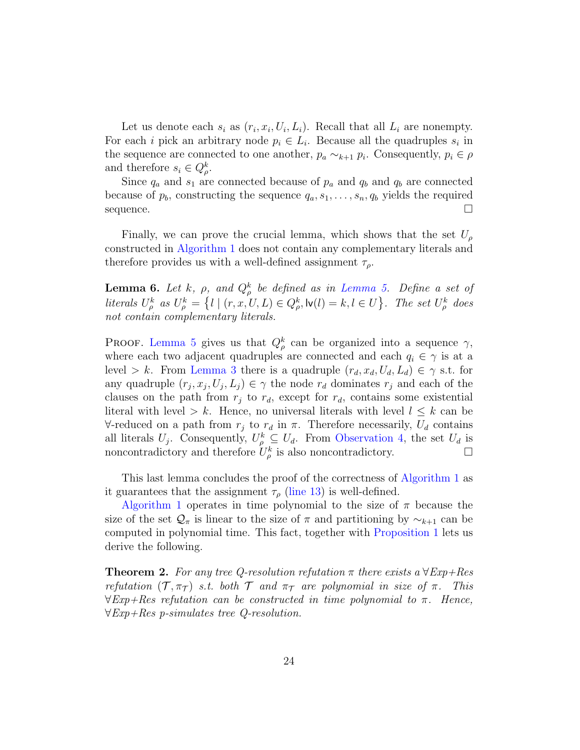Let us denote each  $s_i$  as  $(r_i, x_i, U_i, L_i)$ . Recall that all  $L_i$  are nonempty. For each *i* pick an arbitrary node  $p_i \in L_i$ . Because all the quadruples  $s_i$  in the sequence are connected to one another,  $p_a \sim_{k+1} p_i$ . Consequently,  $p_i \in \rho$ and therefore  $s_i \in Q^k_{\rho}$ .

Since  $q_a$  and  $s_1$  are connected because of  $p_a$  and  $q_b$  and  $q_b$  are connected because of  $p_b$ , constructing the sequence  $q_a, s_1, \ldots, s_n, q_b$  yields the required sequence.  $\Box$ 

Finally, we can prove the crucial lemma, which shows that the set  $U_{\rho}$ constructed in [Algorithm 1](#page-17-1) does not contain any complementary literals and therefore provides us with a well-defined assignment  $\tau_{\rho}$ .

<span id="page-23-0"></span>**Lemma 6.** Let k,  $\rho$ , and  $Q_{\rho}^{k}$  be defined as in [Lemma 5.](#page-22-1) Define a set of literals  $U_{\rho}^k$  as  $U_{\rho}^k = \{l \mid (r, x, U, L) \in Q_{\rho}^k, \mathsf{lv}(l) = k, l \in U\}$ . The set  $U_{\rho}^k$  does not contain complementary literals.

PROOF. [Lemma 5](#page-22-1) gives us that  $Q_{\rho}^{k}$  can be organized into a sequence  $\gamma$ , where each two adjacent quadruples are connected and each  $q_i \in \gamma$  is at a level > k. From [Lemma 3](#page-20-0) there is a quadruple  $(r_d, x_d, U_d, L_d) \in \gamma$  s.t. for any quadruple  $(r_j, x_j, U_j, L_j) \in \gamma$  the node  $r_d$  dominates  $r_j$  and each of the clauses on the path from  $r_i$  to  $r_d$ , except for  $r_d$ , contains some existential literal with level > k. Hence, no universal literals with level  $l \leq k$  can be  $\forall$ -reduced on a path from  $r_j$  to  $r_d$  in  $\pi$ . Therefore necessarily,  $U_d$  contains all literals  $U_j$ . Consequently,  $U^k_\rho \subseteq U_d$ . From [Observation 4,](#page-19-0) the set  $U_d$  is noncontradictory and therefore  $\tilde{U}^k_{\rho}$  is also noncontradictory.

This last lemma concludes the proof of the correctness of [Algorithm 1](#page-17-1) as it guarantees that the assignment  $\tau_{\rho}$  [\(line 13\)](#page-17-3) is well-defined.

[Algorithm 1](#page-17-1) operates in time polynomial to the size of  $\pi$  because the size of the set  $\mathcal{Q}_\pi$  is linear to the size of  $\pi$  and partitioning by  $\sim_{k+1}$  can be computed in polynomial time. This fact, together with [Proposition 1](#page-13-0) lets us derive the following.

<span id="page-23-1"></span>**Theorem 2.** For any tree Q-resolution refutation  $\pi$  there exists a  $\forall Exp+Res$ refutation  $(\mathcal{T}, \pi_{\mathcal{T}})$  s.t. both  $\mathcal{T}$  and  $\pi_{\mathcal{T}}$  are polynomial in size of  $\pi$ . This  $\forall$ Exp+Res refutation can be constructed in time polynomial to  $\pi$ . Hence, ∀Exp+Res p-simulates tree Q-resolution.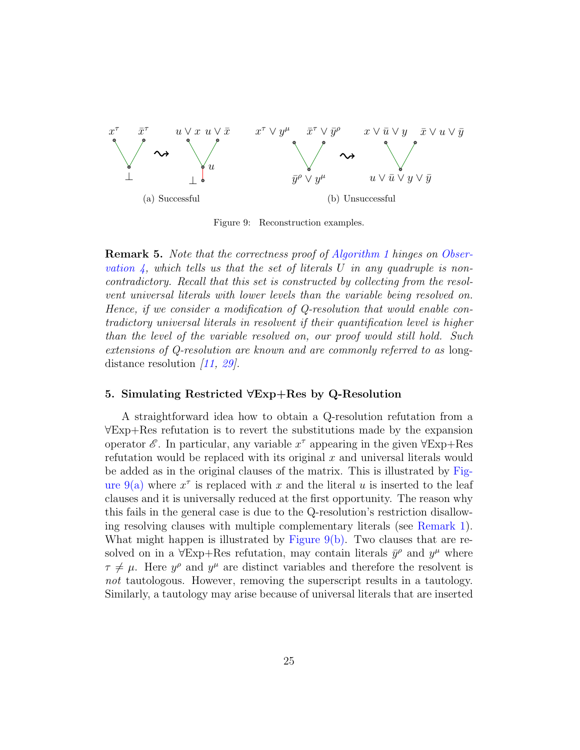<span id="page-24-1"></span>

<span id="page-24-3"></span><span id="page-24-2"></span>Figure 9: Reconstruction examples.

Remark 5. Note that the correctness proof of [Algorithm 1](#page-17-1) hinges on [Obser](#page-19-0)vation  $\lambda$ , which tells us that the set of literals U in any quadruple is noncontradictory. Recall that this set is constructed by collecting from the resolvent universal literals with lower levels than the variable being resolved on. Hence, if we consider a modification of Q-resolution that would enable contradictory universal literals in resolvent if their quantification level is higher than the level of the variable resolved on, our proof would still hold. Such extensions of Q-resolution are known and are commonly referred to as longdistance resolution  $\langle 11, 29 \rangle$ .

# <span id="page-24-0"></span>5. Simulating Restricted ∀Exp+Res by Q-Resolution

A straightforward idea how to obtain a Q-resolution refutation from a ∀Exp+Res refutation is to revert the substitutions made by the expansion operator  $\mathscr E$ . In particular, any variable  $x^{\tau}$  appearing in the given  $\forall \text{Exp+Res}$ refutation would be replaced with its original  $x$  and universal literals would be added as in the original clauses of the matrix. This is illustrated by [Fig](#page-24-1)[ure 9\(a\)](#page-24-1) where  $x^{\tau}$  is replaced with x and the literal u is inserted to the leaf clauses and it is universally reduced at the first opportunity. The reason why this fails in the general case is due to the Q-resolution's restriction disallowing resolving clauses with multiple complementary literals (see [Remark 1\)](#page-4-1). What might happen is illustrated by Figure  $9(b)$ . Two clauses that are resolved on in a  $\forall$ Exp+Res refutation, may contain literals  $\bar{y}^{\rho}$  and  $y^{\mu}$  where  $\tau \neq \mu$ . Here  $y^{\rho}$  and  $y^{\mu}$  are distinct variables and therefore the resolvent is not tautologous. However, removing the superscript results in a tautology. Similarly, a tautology may arise because of universal literals that are inserted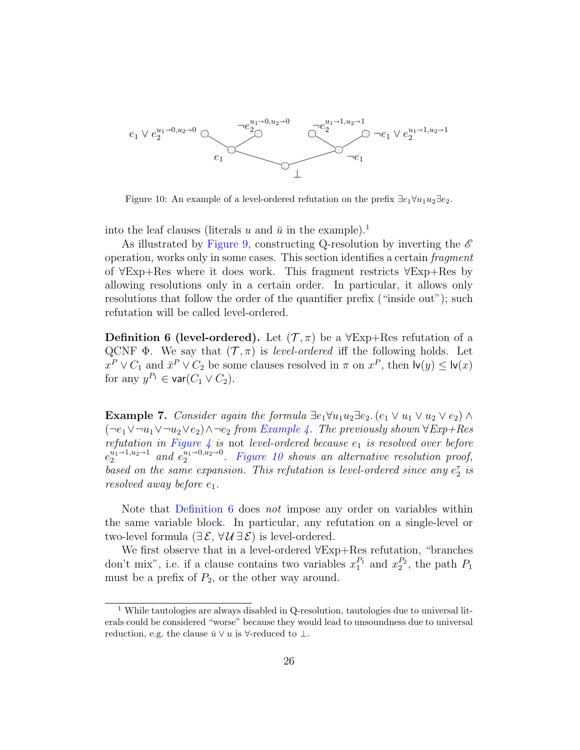

<span id="page-25-1"></span>Figure 10: An example of a level-ordered refutation on the prefix  $\exists e_1 \forall u_1 u_2 \exists e_2$ .

into the leaf clauses (literals u and  $\bar{u}$  in the example).<sup>[1](#page-25-0)</sup>

As illustrated by [Figure 9,](#page-24-3) constructing Q-resolution by inverting the  $\mathscr E$ operation, works only in some cases. This section identifies a certain fragment of ∀Exp+Res where it does work. This fragment restricts ∀Exp+Res by allowing resolutions only in a certain order. In particular, it allows only resolutions that follow the order of the quantifier prefix ("inside out"); such refutation will be called level-ordered.

<span id="page-25-2"></span>**Definition 6 (level-ordered).** Let  $(\mathcal{T}, \pi)$  be a  $\forall$ Exp+Res refutation of a QCNF  $\Phi$ . We say that  $(\mathcal{T}, \pi)$  is *level-ordered* iff the following holds. Let  $x^P \vee C_1$  and  $\bar{x}^P \vee C_2$  be some clauses resolved in  $\pi$  on  $x^P$ , then  $\mathsf{lv}(y) \leq \mathsf{lv}(x)$ for any  $y^{P_1} \in \textsf{var}(C_1 \vee C_2)$ .

**Example 7.** Consider again the formula  $\exists e_1 \forall u_1 u_2 \exists e_2$ .  $(e_1 \lor u_1 \lor u_2 \lor e_2) \land$  $(\neg e_1 \lor \neg u_1 \lor \neg u_2 \lor e_2) \land \neg e_2$  from [Example 4.](#page-9-2) The previously shown  $\forall Exp+Res$ refutation in [Figure 4](#page-9-3) is not level-ordered because  $e_1$  is resolved over before  $e_2^{u_1 \rightarrow 1, u_2 \rightarrow 1}$  and  $e_2^{u_1 \rightarrow 0, u_2 \rightarrow 0}$ . [Figure 10](#page-25-1) shows an alternative resolution proof, based on the same expansion. This refutation is level-ordered since any  $e_2^{\tau}$  is resolved away before  $e_1$ .

Note that [Definition 6](#page-25-2) does *not* impose any order on variables within the same variable block. In particular, any refutation on a single-level or two-level formula ( $\exists \mathcal{E}, \forall \mathcal{U} \exists \mathcal{E}$ ) is level-ordered.

We first observe that in a level-ordered ∀Exp+Res refutation, "branches don't mix", i.e. if a clause contains two variables  $x_1^{P_1}$  and  $x_2^{P_2}$ , the path  $P_1$ must be a prefix of  $P_2$ , or the other way around.

<span id="page-25-3"></span><span id="page-25-0"></span> $1$  While tautologies are always disabled in Q-resolution, tautologies due to universal literals could be considered "worse" because they would lead to unsoundness due to universal reduction, e.g. the clause  $\bar{u} \vee u$  is  $\forall$ -reduced to  $\bot$ .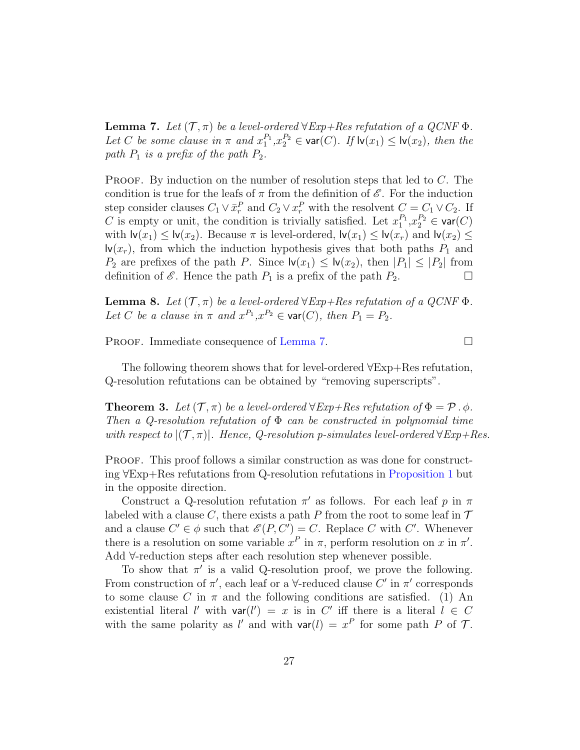**Lemma 7.** Let  $(\mathcal{T}, \pi)$  be a level-ordered  $\forall Exp+Res$  refutation of a QCNF  $\Phi$ . Let C be some clause in  $\pi$  and  $x_1^{P_1}, x_2^{P_2} \in \text{var}(C)$ . If  $\text{lv}(x_1) \leq \text{lv}(x_2)$ , then the path  $P_1$  is a prefix of the path  $P_2$ .

**PROOF.** By induction on the number of resolution steps that led to  $C$ . The condition is true for the leafs of  $\pi$  from the definition of  $\mathscr E$ . For the induction step consider clauses  $C_1 \vee \bar{x}_r^P$  and  $C_2 \vee x_r^P$  with the resolvent  $C = C_1 \vee C_2$ . If C is empty or unit, the condition is trivially satisfied. Let  $x_1^{P_1}, x_2^{P_2} \in \text{var}(C)$ with  $\mathsf{lv}(x_1) \leq \mathsf{lv}(x_2)$ . Because  $\pi$  is level-ordered,  $\mathsf{lv}(x_1) \leq \mathsf{lv}(x_r)$  and  $\mathsf{lv}(x_2) \leq$  $\mathsf{Iv}(x_r)$ , from which the induction hypothesis gives that both paths  $P_1$  and  $P_2$  are prefixes of the path P. Since  $\mathsf{lv}(x_1) \leq \mathsf{lv}(x_2)$ , then  $|P_1| \leq |P_2|$  from definition of  $\mathscr E$ . Hence the path  $P_1$  is a prefix of the path  $P_2$ .

<span id="page-26-0"></span>**Lemma 8.** Let  $(\mathcal{T}, \pi)$  be a level-ordered  $\forall Exp+Res$  refutation of a QCNF  $\Phi$ . Let C be a clause in  $\pi$  and  $x^{P_1}, x^{P_2} \in \text{var}(C)$ , then  $P_1 = P_2$ .

PROOF. Immediate consequence of [Lemma 7.](#page-25-3)

The following theorem shows that for level-ordered ∀Exp+Res refutation, Q-resolution refutations can be obtained by "removing superscripts".

**Theorem 3.** Let  $(\mathcal{T}, \pi)$  be a level-ordered  $\forall Exp+Res$  refutation of  $\Phi = \mathcal{P} \cdot \phi$ . Then a Q-resolution refutation of  $\Phi$  can be constructed in polynomial time with respect to  $|({\mathcal T},\pi)|$ . Hence, Q-resolution p-simulates level-ordered  $\forall$ Exp+Res.

PROOF. This proof follows a similar construction as was done for constructing ∀Exp+Res refutations from Q-resolution refutations in [Proposition 1](#page-13-0) but in the opposite direction.

Construct a Q-resolution refutation  $\pi'$  as follows. For each leaf p in  $\pi$ labeled with a clause C, there exists a path P from the root to some leaf in  $\mathcal T$ and a clause  $C' \in \phi$  such that  $\mathscr{E}(P, C') = C$ . Replace C with C'. Whenever there is a resolution on some variable  $x^P$  in  $\pi$ , perform resolution on x in  $\pi'$ . Add ∀-reduction steps after each resolution step whenever possible.

To show that  $\pi'$  is a valid Q-resolution proof, we prove the following. From construction of  $\pi'$ , each leaf or a  $\forall$ -reduced clause C' in  $\pi'$  corresponds to some clause C in  $\pi$  and the following conditions are satisfied. (1) An existential literal l' with  $var(l') = x$  is in C' iff there is a literal  $l \in C$ with the same polarity as l' and with  $var(l) = x^P$  for some path P of T.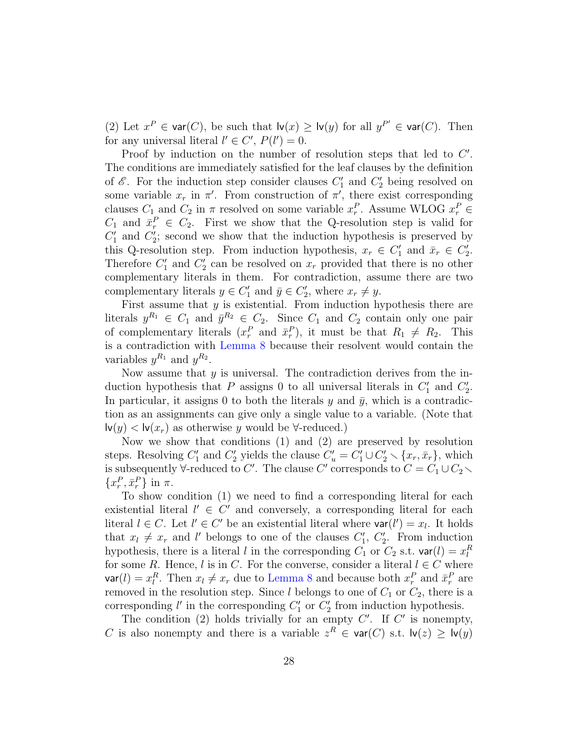(2) Let  $x^P \in \text{var}(C)$ , be such that  $\text{lv}(x) \geq \text{lv}(y)$  for all  $y^{P'} \in \text{var}(C)$ . Then for any universal literal  $l' \in C'$ ,  $P(l') = 0$ .

Proof by induction on the number of resolution steps that led to  $C'$ . The conditions are immediately satisfied for the leaf clauses by the definition of  $\mathscr{E}$ . For the induction step consider clauses  $C'_1$  and  $C'_2$  being resolved on some variable  $x_r$  in  $\pi'$ . From construction of  $\pi'$ , there exist corresponding clauses  $C_1$  and  $C_2$  in  $\pi$  resolved on some variable  $x_r^P$ . Assume WLOG  $x_r^P$  $C_1$  and  $\bar{x}_r^P \in C_2$ . First we show that the Q-resolution step is valid for  $C'_1$  and  $C'_2$ ; second we show that the induction hypothesis is preserved by this Q-resolution step. From induction hypothesis,  $x_r \in C'_1$  and  $\bar{x}_r \in C'_2$ . Therefore  $C_1'$  and  $C_2'$  can be resolved on  $x_r$  provided that there is no other complementary literals in them. For contradiction, assume there are two complementary literals  $y \in C'_1$  and  $\overline{y} \in C'_2$ , where  $x_r \neq y$ .

First assume that  $y$  is existential. From induction hypothesis there are literals  $y^{R_1} \in C_1$  and  $\bar{y}^{R_2} \in C_2$ . Since  $C_1$  and  $C_2$  contain only one pair of complementary literals  $(x_r^P \text{ and } \bar{x}_r^P)$ , it must be that  $R_1 \neq R_2$ . This is a contradiction with [Lemma 8](#page-26-0) because their resolvent would contain the variables  $y^{R_1}$  and  $y^{R_2}$ .

Now assume that  $y$  is universal. The contradiction derives from the induction hypothesis that P assigns 0 to all universal literals in  $C_1'$  and  $C_2'$ . In particular, it assigns 0 to both the literals y and  $\bar{y}$ , which is a contradiction as an assignments can give only a single value to a variable. (Note that  $\mathsf{I}\mathsf{v}(y) < \mathsf{I}\mathsf{v}(x_r)$  as otherwise y would be  $\forall$ -reduced.)

Now we show that conditions (1) and (2) are preserved by resolution steps. Resolving  $C'_1$  and  $C'_2$  yields the clause  $C'_u = C'_1 \cup C'_2 \setminus \{x_r, \bar{x}_r\}$ , which is subsequently  $\forall$ -reduced to C'. The clause C' corresponds to  $C = C_1 \cup C_2$ .  $\{x_r^P, \bar{x}_r^P\}$  in  $\pi$ .

To show condition (1) we need to find a corresponding literal for each existential literal  $l' \in C'$  and conversely, a corresponding literal for each literal  $l \in C$ . Let  $l' \in C'$  be an existential literal where  $var(l') = x_l$ . It holds that  $x_l \neq x_r$  and l' belongs to one of the clauses  $C'_1$ ,  $C'_2$ . From induction hypothesis, there is a literal l in the corresponding  $C_1$  or  $C_2$  s.t.  $\text{var}(l) = x_l^R$ for some R. Hence, l is in C. For the converse, consider a literal  $l \in C$  where  $\mathsf{var}(l) = x_l^R$ . Then  $x_l \neq x_r$  due to [Lemma 8](#page-26-0) and because both  $x_r^P$  and  $\bar{x}_r^P$  are removed in the resolution step. Since l belongs to one of  $C_1$  or  $C_2$ , there is a corresponding  $l'$  in the corresponding  $C'_1$  or  $C'_2$  from induction hypothesis.

The condition (2) holds trivially for an empty  $C'$ . If  $C'$  is nonempty, C is also nonempty and there is a variable  $z^R \in \text{var}(C)$  s.t.  $\text{lv}(z) \geq \text{lv}(y)$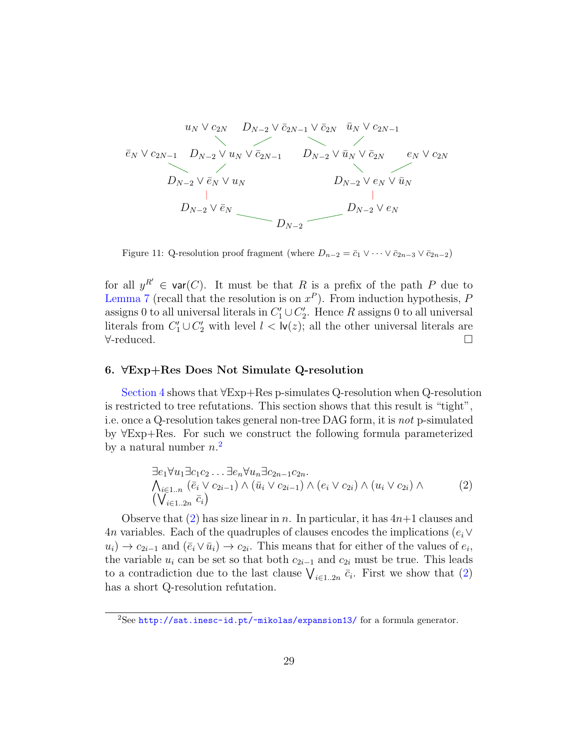$$
u_{N} \vee c_{2N} \t D_{N-2} \vee \bar{c}_{2N-1} \vee \bar{c}_{2N} \t \bar{u}_{N} \vee c_{2N-1}
$$
  
\n
$$
\bar{e}_{N} \vee c_{2N-1} \t D_{N-2} \vee u_{N} \vee \bar{c}_{2N-1} \t D_{N-2} \vee \bar{u}_{N} \vee \bar{c}_{2N} \t e_{N} \vee c_{2N}
$$
  
\n
$$
D_{N-2} \vee \bar{e}_{N} \vee u_{N} \t D_{N-2} \vee e_{N} \vee \bar{u}_{N}
$$
  
\n
$$
D_{N-2} \vee \bar{e}_{N} \t D_{N-2} \vee e_{N}
$$

<span id="page-28-3"></span>Figure 11: Q-resolution proof fragment (where  $D_{n-2} = \bar{c}_1 \vee \cdots \vee \bar{c}_{2n-3} \vee \bar{c}_{2n-2}$ )

for all  $y^{R'} \in \text{var}(C)$ . It must be that R is a prefix of the path P due to [Lemma 7](#page-25-3) (recall that the resolution is on  $x^P$ ). From induction hypothesis, P assigns 0 to all universal literals in  $C'_1 \cup C'_2$ . Hence R assigns 0 to all universal literals from  $C_1' \cup C_2'$  with level  $l < \mathsf{lv}(z)$ ; all the other universal literals are ∀-reduced.

# <span id="page-28-0"></span>6. ∀Exp+Res Does Not Simulate Q-resolution

[Section 4](#page-10-0) shows that ∀Exp+Res p-simulates Q-resolution when Q-resolution is restricted to tree refutations. This section shows that this result is "tight", i.e. once a Q-resolution takes general non-tree DAG form, it is not p-simulated by ∀Exp+Res. For such we construct the following formula parameterized by a natural number  $n<sup>2</sup>$  $n<sup>2</sup>$  $n<sup>2</sup>$ 

<span id="page-28-2"></span>
$$
\exists e_1 \forall u_1 \exists c_1 c_2 \dots \exists e_n \forall u_n \exists c_{2n-1} c_{2n}.
$$
  
\n
$$
\bigwedge_{i \in 1..n} (\bar{e}_i \lor c_{2i-1}) \land (\bar{u}_i \lor c_{2i-1}) \land (e_i \lor c_{2i}) \land (u_i \lor c_{2i}) \land (\bigvee_{i \in 1..2n} \bar{c}_i)
$$
\n
$$
\bigvee_{i \in 1..2n} \bar{c}_i \big)
$$
\n
$$
(2)
$$

Observe that [\(2\)](#page-28-2) has size linear in n. In particular, it has  $4n+1$  clauses and 4n variables. Each of the quadruples of clauses encodes the implications  $(e_i \vee$  $u_i) \to c_{2i-1}$  and  $(\bar{e}_i \vee \bar{u}_i) \to c_{2i}$ . This means that for either of the values of  $e_i$ , the variable  $u_i$  can be set so that both  $c_{2i-1}$  and  $c_{2i}$  must be true. This leads to a contradiction due to the last clause  $\bigvee_{i\in 1..2n} \bar{c}_i$ . First we show that [\(2\)](#page-28-2) has a short Q-resolution refutation.

<span id="page-28-4"></span><span id="page-28-1"></span><sup>2</sup>See <http://sat.inesc-id.pt/~mikolas/expansion13/> for a formula generator.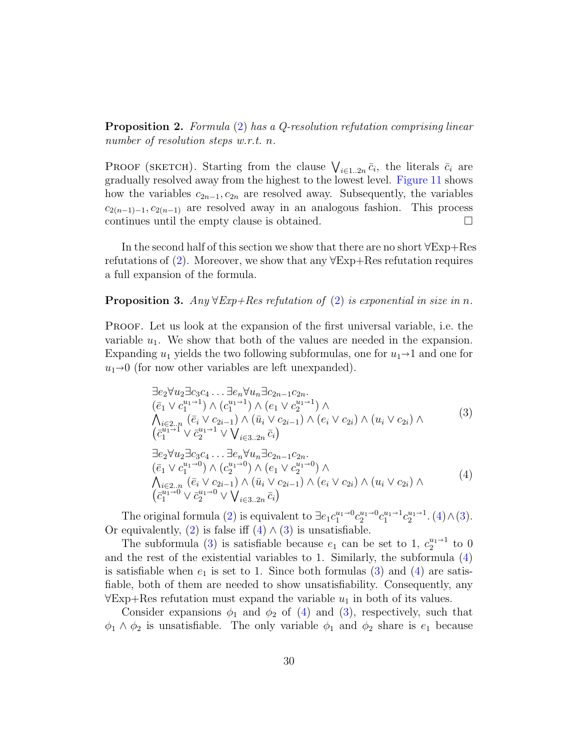**Proposition 2.** Formula [\(2\)](#page-28-2) has a Q-resolution refutation comprising linear number of resolution steps w.r.t. n.

PROOF (SKETCH). Starting from the clause  $\bigvee_{i\in 1..2n}\bar{c}_i$ , the literals  $\bar{c}_i$  are gradually resolved away from the highest to the lowest level. [Figure 11](#page-28-3) shows how the variables  $c_{2n-1}, c_{2n}$  are resolved away. Subsequently, the variables  $c_{2(n-1)-1}, c_{2(n-1)}$  are resolved away in an analogous fashion. This process continues until the empty clause is obtained.  $\Box$ 

In the second half of this section we show that there are no short ∀Exp+Res refutations of [\(2\)](#page-28-2). Moreover, we show that any ∀Exp+Res refutation requires a full expansion of the formula.

# <span id="page-29-2"></span>**Proposition 3.** Any  $\forall$ Exp+Res refutation of [\(2\)](#page-28-2) is exponential in size in n.

Proof. Let us look at the expansion of the first universal variable, i.e. the variable  $u_1$ . We show that both of the values are needed in the expansion. Expanding  $u_1$  yields the two following subformulas, one for  $u_1 \rightarrow 1$  and one for  $u_1\rightarrow 0$  (for now other variables are left unexpanded).

<span id="page-29-1"></span>
$$
\exists e_2 \forall u_2 \exists c_3 c_4 \dots \exists e_n \forall u_n \exists c_{2n-1} c_{2n}.\n\quad\n(\bar{e}_1 \lor c_1^{u_1-1}) \land (c_1^{u_1-1}) \land (e_1 \lor c_2^{u_1-1}) \land \\
\bigwedge_{i \in 2..n} (\bar{e}_i \lor c_{2i-1}) \land (\bar{u}_i \lor c_{2i-1}) \land (e_i \lor c_{2i}) \land (u_i \lor c_{2i}) \land \\
(\bar{c}_1^{u_1-1} \lor \bar{c}_2^{u_1-1} \lor \bigvee_{i \in 3..2n} \bar{c}_i)\n\quad\n\exists e_2 \forall u_2 \exists c_3 c_4 \dots \exists e_n \forall u_n \exists c_{2n-1} c_{2n}.\n\quad\n(\bar{e}_1 \lor c_1^{u_1-0}) \land (c_2^{u_1-0}) \land (e_1 \lor c_2^{u_1-0}) \land \\
\bigwedge_{i \in 2..n} (\bar{e}_i \lor c_{2i-1}) \land (\bar{u}_i \lor c_{2i-1}) \land (e_i \lor c_{2i}) \land (u_i \lor c_{2i}) \land \\
(\bar{c}_1^{u_1-0} \lor \bar{c}_2^{u_1-0} \lor \bigvee_{i \in 3..2n} \bar{c}_i)\n\tag{4}
$$

<span id="page-29-0"></span>The original formula [\(2\)](#page-28-2) is equivalent to  $\exists e_1 c_1^{u_1 \to 0} c_2^{u_1 \to 0} c_1^{u_1 \to 1} c_2^{u_1 \to 1}$ . [\(4\)](#page-29-0)  $\wedge$  [\(3\)](#page-29-1). Or equivalently, [\(2\)](#page-28-2) is false iff  $(4) \wedge (3)$  $(4) \wedge (3)$  $(4) \wedge (3)$  is unsatisfiable.

The subformula [\(3\)](#page-29-1) is satisfiable because  $e_1$  can be set to 1,  $c_2^{u_1 \rightarrow 1}$  to 0 and the rest of the existential variables to 1. Similarly, the subformula [\(4\)](#page-29-0) is satisfiable when  $e_1$  is set to 1. Since both formulas [\(3\)](#page-29-1) and [\(4\)](#page-29-0) are satisfiable, both of them are needed to show unsatisfiability. Consequently, any  $\forall$ Exp+Res refutation must expand the variable  $u_1$  in both of its values.

Consider expansions  $\phi_1$  and  $\phi_2$  of [\(4\)](#page-29-0) and [\(3\)](#page-29-1), respectively, such that  $\phi_1 \wedge \phi_2$  is unsatisfiable. The only variable  $\phi_1$  and  $\phi_2$  share is  $e_1$  because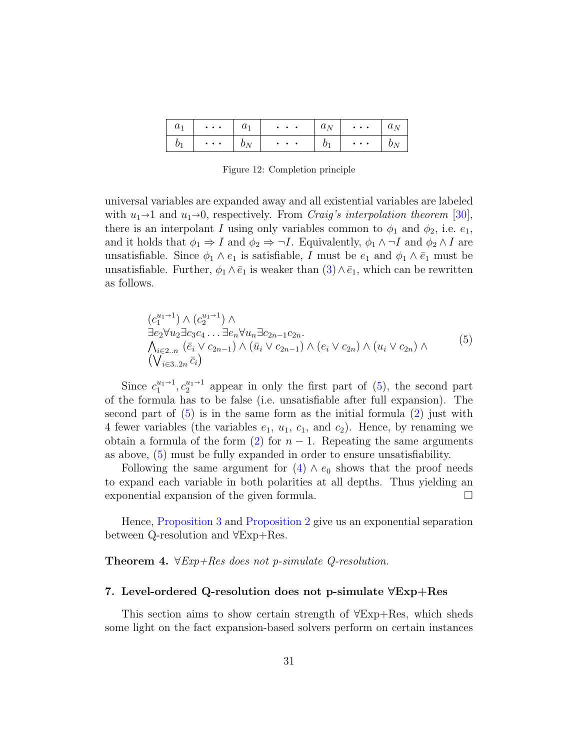| $u_1$            | $\bullet$ $\bullet$ $\bullet$          | $\omega_1$ | $\sim$ $\sim$ $\sim$              | $a_N$ ' | $\mathcal{F}^{\mathcal{A}}$ . The contract $\mathcal{F}^{\mathcal{A}}$ | $a_N$ |
|------------------|----------------------------------------|------------|-----------------------------------|---------|------------------------------------------------------------------------|-------|
| $\boldsymbol{U}$ | $\bullet\quad\bullet\quad\bullet\quad$ |            | $\bullet$ , $\bullet$ , $\bullet$ |         | $\bullet$ , $\bullet$ , $\bullet$ .                                    |       |

<span id="page-30-2"></span>Figure 12: Completion principle

universal variables are expanded away and all existential variables are labeled with  $u_1 \rightarrow 1$  and  $u_1 \rightarrow 0$ , respectively. From *Craig's interpolation theorem* [\[30\]](#page-38-9), there is an interpolant I using only variables common to  $\phi_1$  and  $\phi_2$ , i.e.  $e_1$ , and it holds that  $\phi_1 \Rightarrow I$  and  $\phi_2 \Rightarrow \neg I$ . Equivalently,  $\phi_1 \land \neg I$  and  $\phi_2 \land I$  are unsatisfiable. Since  $\phi_1 \wedge e_1$  is satisfiable, I must be  $e_1$  and  $\phi_1 \wedge \overline{e}_1$  must be unsatisfiable. Further,  $\phi_1 \wedge \bar{e}_1$  is weaker than  $(3) \wedge \bar{e}_1$  $(3) \wedge \bar{e}_1$ , which can be rewritten as follows.

<span id="page-30-1"></span>
$$
(c_1^{u_1+1}) \wedge (c_2^{u_1+1}) \wedge \n\exists e_2 \forall u_2 \exists c_3 c_4 \dots \exists e_n \forall u_n \exists c_{2n-1} c_{2n} \n\wedge_{i \in 2..n} (\bar{e}_i \vee c_{2n-1}) \wedge (\bar{u}_i \vee c_{2n-1}) \wedge (e_i \vee c_{2n}) \wedge (u_i \vee c_{2n}) \wedge \n(\bigvee_{i \in 3..2n} \bar{c}_i)
$$
\n
$$
(5)
$$

Since  $c_1^{u_1\rightarrow 1}, c_2^{u_1\rightarrow 1}$  appear in only the first part of [\(5\)](#page-30-1), the second part of the formula has to be false (i.e. unsatisfiable after full expansion). The second part of  $(5)$  is in the same form as the initial formula  $(2)$  just with 4 fewer variables (the variables  $e_1$ ,  $u_1$ ,  $c_1$ , and  $c_2$ ). Hence, by renaming we obtain a formula of the form [\(2\)](#page-28-2) for  $n-1$ . Repeating the same arguments as above, [\(5\)](#page-30-1) must be fully expanded in order to ensure unsatisfiability.

Following the same argument for  $(4) \wedge e_0$  $(4) \wedge e_0$  shows that the proof needs to expand each variable in both polarities at all depths. Thus yielding an exponential expansion of the given formula.

Hence, [Proposition 3](#page-29-2) and [Proposition 2](#page-28-4) give us an exponential separation between Q-resolution and ∀Exp+Res.

Theorem 4.  $\forall Exp+Res$  does not p-simulate Q-resolution.

# <span id="page-30-0"></span>7. Level-ordered Q-resolution does not p-simulate ∀Exp+Res

This section aims to show certain strength of ∀Exp+Res, which sheds some light on the fact expansion-based solvers perform on certain instances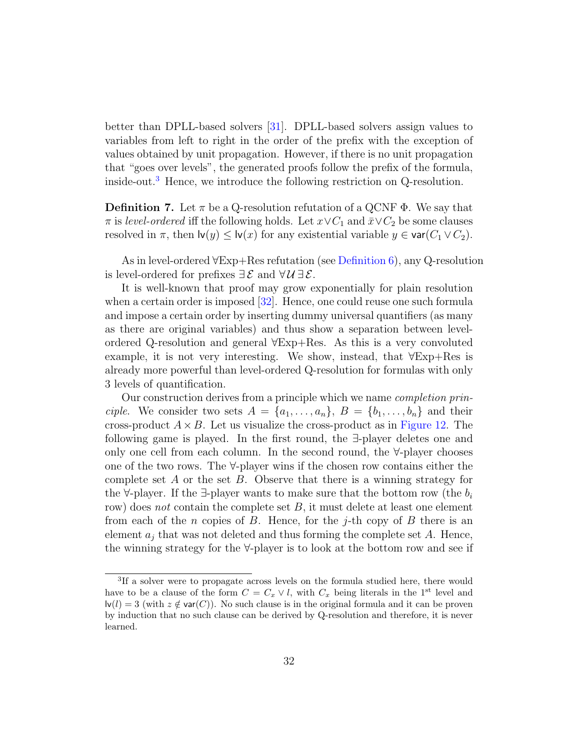better than DPLL-based solvers [\[31\]](#page-38-10). DPLL-based solvers assign values to variables from left to right in the order of the prefix with the exception of values obtained by unit propagation. However, if there is no unit propagation that "goes over levels", the generated proofs follow the prefix of the formula, inside-out.[3](#page-31-0) Hence, we introduce the following restriction on Q-resolution.

**Definition 7.** Let  $\pi$  be a Q-resolution refutation of a QCNF  $\Phi$ . We say that  $\pi$  is level-ordered iff the following holds. Let  $x \vee C_1$  and  $\bar{x} \vee C_2$  be some clauses resolved in  $\pi$ , then  $\mathsf{lv}(y) \leq \mathsf{lv}(x)$  for any existential variable  $y \in \mathsf{var}(C_1 \vee C_2)$ .

As in level-ordered ∀Exp+Res refutation (see [Definition 6\)](#page-25-2), any Q-resolution is level-ordered for prefixes  $\exists \mathcal{E}$  and  $\forall \mathcal{U} \exists \mathcal{E}$ .

It is well-known that proof may grow exponentially for plain resolution when a certain order is imposed [\[32\]](#page-38-11). Hence, one could reuse one such formula and impose a certain order by inserting dummy universal quantifiers (as many as there are original variables) and thus show a separation between levelordered Q-resolution and general ∀Exp+Res. As this is a very convoluted example, it is not very interesting. We show, instead, that ∀Exp+Res is already more powerful than level-ordered Q-resolution for formulas with only 3 levels of quantification.

Our construction derives from a principle which we name completion principle. We consider two sets  $A = \{a_1, \ldots, a_n\}, B = \{b_1, \ldots, b_n\}$  and their cross-product  $A \times B$ . Let us visualize the cross-product as in [Figure 12.](#page-30-2) The following game is played. In the first round, the ∃-player deletes one and only one cell from each column. In the second round, the ∀-player chooses one of the two rows. The ∀-player wins if the chosen row contains either the complete set  $A$  or the set  $B$ . Observe that there is a winning strategy for the  $\forall$ -player. If the  $\exists$ -player wants to make sure that the bottom row (the  $b_i$ ) row) does not contain the complete set  $B$ , it must delete at least one element from each of the n copies of B. Hence, for the j-th copy of B there is an element  $a_j$  that was not deleted and thus forming the complete set A. Hence, the winning strategy for the ∀-player is to look at the bottom row and see if

<span id="page-31-0"></span><sup>&</sup>lt;sup>3</sup>If a solver were to propagate across levels on the formula studied here, there would have to be a clause of the form  $C = C_x \vee l$ , with  $C_x$  being literals in the 1<sup>st</sup> level and  $\mathsf{I}\mathsf{v}(l) = 3$  (with  $z \notin \mathsf{var}(C)$ ). No such clause is in the original formula and it can be proven by induction that no such clause can be derived by Q-resolution and therefore, it is never learned.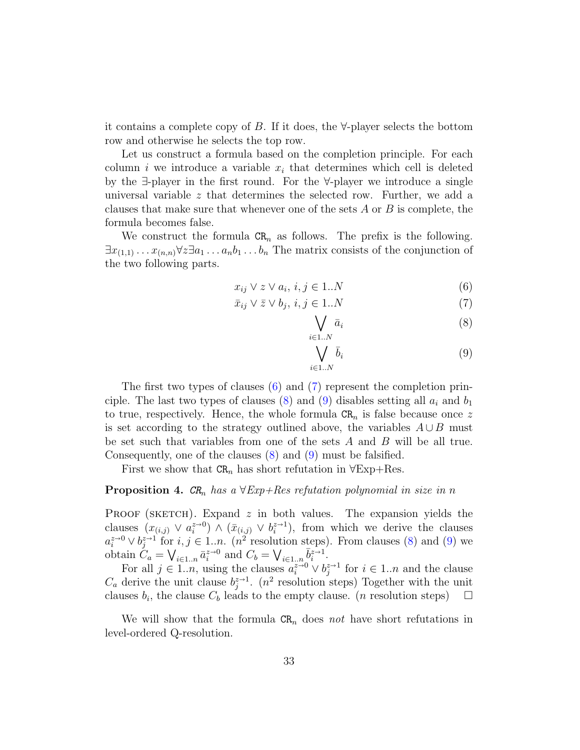it contains a complete copy of B. If it does, the ∀-player selects the bottom row and otherwise he selects the top row.

Let us construct a formula based on the completion principle. For each column i we introduce a variable  $x_i$  that determines which cell is deleted by the ∃-player in the first round. For the ∀-player we introduce a single universal variable z that determines the selected row. Further, we add a clauses that make sure that whenever one of the sets  $A$  or  $B$  is complete, the formula becomes false.

We construct the formula  $CR_n$  as follows. The prefix is the following.  $\exists x_{(1,1)} \ldots x_{(n,n)} \forall z \exists a_1 \ldots a_n b_1 \ldots b_n$  The matrix consists of the conjunction of the two following parts.

$$
x_{ij} \lor z \lor a_i, \, i, j \in 1..N \tag{6}
$$

$$
\bar{x}_{ij} \vee \bar{z} \vee b_j, \ i, j \in 1..N \tag{7}
$$

<span id="page-32-1"></span><span id="page-32-0"></span>
$$
\bigvee_{i \in 1..N} \bar{a}_i \tag{8}
$$

<span id="page-32-3"></span><span id="page-32-2"></span>
$$
\bigvee_{i \in 1..N} \bar{b}_i \tag{9}
$$

The first two types of clauses [\(6\)](#page-32-0) and [\(7\)](#page-32-1) represent the completion prin-ciple. The last two types of clauses [\(8\)](#page-32-2) and [\(9\)](#page-32-3) disables setting all  $a_i$  and  $b_1$ to true, respectively. Hence, the whole formula  $CR_n$  is false because once z is set according to the strategy outlined above, the variables  $A \cup B$  must be set such that variables from one of the sets  $A$  and  $B$  will be all true. Consequently, one of the clauses [\(8\)](#page-32-2) and [\(9\)](#page-32-3) must be falsified.

First we show that  $CR_n$  has short refutation in  $\forall Exp+Res.$ 

# **Proposition 4.**  $CR_n$  has a  $\forall Exp+Res$  refutation polynomial in size in n

PROOF (SKETCH). Expand  $z$  in both values. The expansion yields the clauses  $(x_{(i,j)} \vee a_i^{z\to 0}) \wedge (\bar{x}_{(i,j)} \vee b_i^{z\to 1}),$  from which we derive the clauses  $a_i^{z\to0} \vee b_j^{z\to1}$  for  $i, j \in 1..n$ . (n<sup>2</sup> resolution steps). From clauses [\(8\)](#page-32-2) and [\(9\)](#page-32-3) we obtain  $C_a = \bigvee_{i \in 1..n} \bar{a}_i^{z \to 0}$  and  $C_b = \bigvee_{i \in 1..n} \bar{b}_i^{z \to 1}$ .

For all  $j \in 1..n$ , using the clauses  $a_i^{z\to0} \vee b_j^{z\to1}$  for  $i \in 1..n$  and the clause  $C_a$  derive the unit clause  $b_j^{z-1}$ . (n<sup>2</sup> resolution steps) Together with the unit clauses  $b_i$ , the clause  $C_b$  leads to the empty clause. (*n* resolution steps)  $\Box$ 

<span id="page-32-4"></span>We will show that the formula  $CR_n$  does not have short refutations in level-ordered Q-resolution.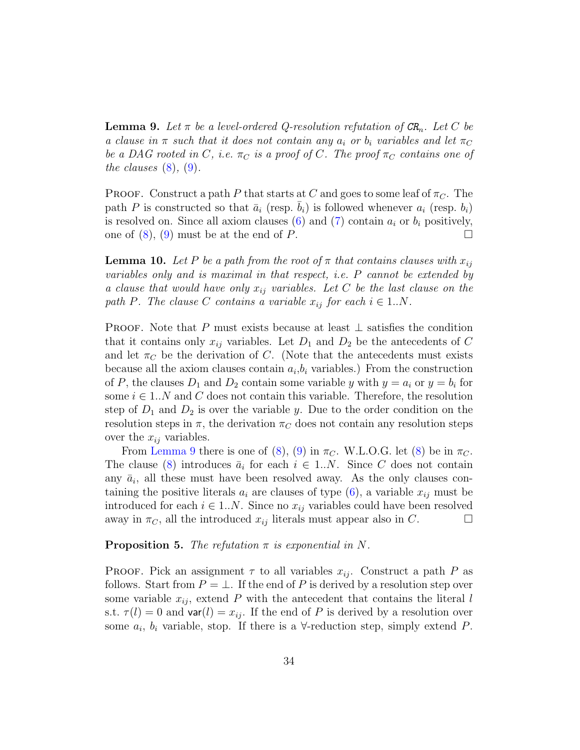**Lemma 9.** Let  $\pi$  be a level-ordered Q-resolution refutation of  $CR_n$ . Let C be a clause in  $\pi$  such that it does not contain any  $a_i$  or  $b_i$  variables and let  $\pi_C$ be a DAG rooted in C, i.e.  $\pi_C$  is a proof of C. The proof  $\pi_C$  contains one of the clauses  $(8)$ ,  $(9)$ .

**PROOF.** Construct a path P that starts at C and goes to some leaf of  $\pi_C$ . The path P is constructed so that  $\bar{a}_i$  (resp.  $\bar{b}_i$ ) is followed whenever  $a_i$  (resp.  $b_i$ ) is resolved on. Since all axiom clauses [\(6\)](#page-32-0) and [\(7\)](#page-32-1) contain  $a_i$  or  $b_i$  positively, one of  $(8)$ ,  $(9)$  must be at the end of P.

<span id="page-33-0"></span>**Lemma 10.** Let P be a path from the root of  $\pi$  that contains clauses with  $x_{ij}$ variables only and is maximal in that respect, i.e. P cannot be extended by a clause that would have only  $x_{ij}$  variables. Let C be the last clause on the path P. The clause C contains a variable  $x_{ij}$  for each  $i \in 1..N$ .

PROOF. Note that P must exists because at least  $\perp$  satisfies the condition that it contains only  $x_{ij}$  variables. Let  $D_1$  and  $D_2$  be the antecedents of C and let  $\pi_C$  be the derivation of C. (Note that the antecedents must exists because all the axiom clauses contain  $a_i, b_i$  variables.) From the construction of P, the clauses  $D_1$  and  $D_2$  contain some variable y with  $y = a_i$  or  $y = b_i$  for some  $i \in 1..N$  and C does not contain this variable. Therefore, the resolution step of  $D_1$  and  $D_2$  is over the variable y. Due to the order condition on the resolution steps in  $\pi$ , the derivation  $\pi_C$  does not contain any resolution steps over the  $x_{ij}$  variables.

From [Lemma 9](#page-32-4) there is one of [\(8\)](#page-32-2), [\(9\)](#page-32-3) in  $\pi_{C}$ . W.L.O.G. let (8) be in  $\pi_{C}$ . The clause [\(8\)](#page-32-2) introduces  $\bar{a}_i$  for each  $i \in 1..N$ . Since C does not contain any  $\bar{a}_i$ , all these must have been resolved away. As the only clauses containing the positive literals  $a_i$  are clauses of type [\(6\)](#page-32-0), a variable  $x_{ij}$  must be introduced for each  $i \in 1..N$ . Since no  $x_{ij}$  variables could have been resolved away in  $\pi_C$ , all the introduced  $x_{ij}$  literals must appear also in C.

**Proposition 5.** The refutation  $\pi$  is exponential in N.

**PROOF.** Pick an assignment  $\tau$  to all variables  $x_{ij}$ . Construct a path P as follows. Start from  $P = \perp$ . If the end of P is derived by a resolution step over some variable  $x_{ij}$ , extend P with the antecedent that contains the literal l s.t.  $\tau(l) = 0$  and  $var(l) = x_{ij}$ . If the end of P is derived by a resolution over some  $a_i$ ,  $b_i$  variable, stop. If there is a  $\forall$ -reduction step, simply extend P.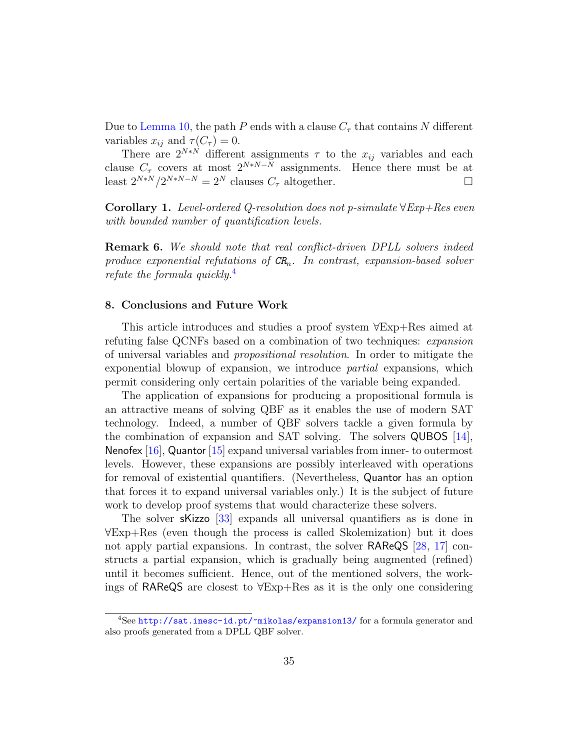Due to [Lemma 10,](#page-33-0) the path P ends with a clause  $C_{\tau}$  that contains N different variables  $x_{ij}$  and  $\tau(C_{\tau}) = 0$ .

There are  $2^{N*N}$  different assignments  $\tau$  to the  $x_{ij}$  variables and each clause  $C_{\tau}$  covers at most  $2^{N*N-N}$  assignments. Hence there must be at least  $2^{N*N}/2^{N*N-N} = 2^N$  clauses  $C_{\tau}$  altogether.

**Corollary 1.** Level-ordered Q-resolution does not p-simulate  $\forall Exp+Res$  even with bounded number of quantification levels.

**Remark 6.** We should note that real conflict-driven DPLL solvers indeed produce exponential refutations of  $CR_n$ . In contrast, expansion-based solver refute the formula quickly.[4](#page-34-1)

# <span id="page-34-0"></span>8. Conclusions and Future Work

This article introduces and studies a proof system ∀Exp+Res aimed at refuting false QCNFs based on a combination of two techniques: expansion of universal variables and propositional resolution. In order to mitigate the exponential blowup of expansion, we introduce partial expansions, which permit considering only certain polarities of the variable being expanded.

The application of expansions for producing a propositional formula is an attractive means of solving QBF as it enables the use of modern SAT technology. Indeed, a number of QBF solvers tackle a given formula by the combination of expansion and SAT solving. The solvers QUBOS [\[14\]](#page-37-5), Nenofex [\[16\]](#page-37-7), Quantor [\[15\]](#page-37-6) expand universal variables from inner- to outermost levels. However, these expansions are possibly interleaved with operations for removal of existential quantifiers. (Nevertheless, Quantor has an option that forces it to expand universal variables only.) It is the subject of future work to develop proof systems that would characterize these solvers.

The solver sKizzo [\[33\]](#page-39-0) expands all universal quantifiers as is done in ∀Exp+Res (even though the process is called Skolemization) but it does not apply partial expansions. In contrast, the solver RAReQS [\[28,](#page-38-7) [17\]](#page-37-8) constructs a partial expansion, which is gradually being augmented (refined) until it becomes sufficient. Hence, out of the mentioned solvers, the workings of RAReQS are closest to ∀Exp+Res as it is the only one considering

<span id="page-34-1"></span><sup>&</sup>lt;sup>4</sup>See <http://sat.inesc-id.pt/~mikolas/expansion13/> for a formula generator and also proofs generated from a DPLL QBF solver.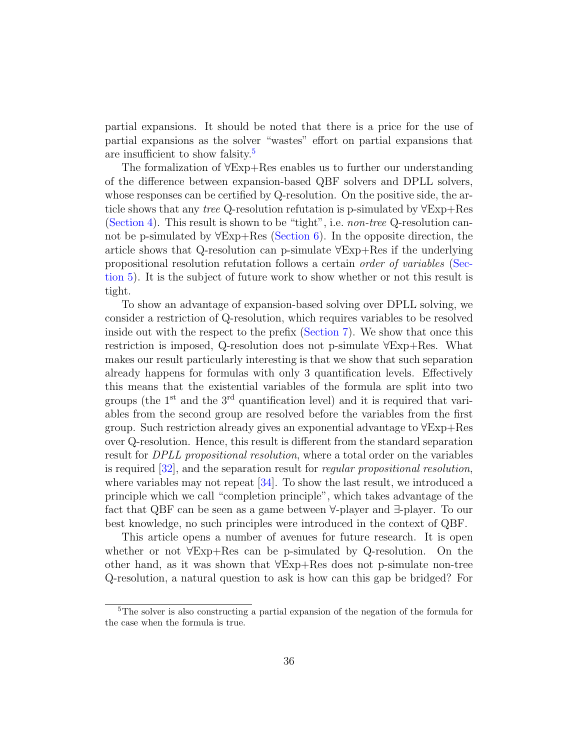partial expansions. It should be noted that there is a price for the use of partial expansions as the solver "wastes" effort on partial expansions that are insufficient to show falsity.[5](#page-35-0)

The formalization of ∀Exp+Res enables us to further our understanding of the difference between expansion-based QBF solvers and DPLL solvers, whose responses can be certified by Q-resolution. On the positive side, the article shows that any tree Q-resolution refutation is p-simulated by ∀Exp+Res [\(Section 4\)](#page-10-0). This result is shown to be "tight", i.e. non-tree Q-resolution cannot be p-simulated by  $\forall$ Exp+Res [\(Section 6\)](#page-28-0). In the opposite direction, the article shows that Q-resolution can p-simulate ∀Exp+Res if the underlying propositional resolution refutation follows a certain order of variables [\(Sec](#page-24-0)[tion 5\)](#page-24-0). It is the subject of future work to show whether or not this result is tight.

To show an advantage of expansion-based solving over DPLL solving, we consider a restriction of Q-resolution, which requires variables to be resolved inside out with the respect to the prefix [\(Section 7\)](#page-30-0). We show that once this restriction is imposed, Q-resolution does not p-simulate ∀Exp+Res. What makes our result particularly interesting is that we show that such separation already happens for formulas with only 3 quantification levels. Effectively this means that the existential variables of the formula are split into two groups (the  $1<sup>st</sup>$  and the  $3<sup>rd</sup>$  quantification level) and it is required that variables from the second group are resolved before the variables from the first group. Such restriction already gives an exponential advantage to ∀Exp+Res over Q-resolution. Hence, this result is different from the standard separation result for *DPLL propositional resolution*, where a total order on the variables is required [\[32\]](#page-38-11), and the separation result for regular propositional resolution, where variables may not repeat [\[34\]](#page-39-1). To show the last result, we introduced a principle which we call "completion principle", which takes advantage of the fact that QBF can be seen as a game between ∀-player and ∃-player. To our best knowledge, no such principles were introduced in the context of QBF.

This article opens a number of avenues for future research. It is open whether or not ∀Exp+Res can be p-simulated by Q-resolution. On the other hand, as it was shown that ∀Exp+Res does not p-simulate non-tree Q-resolution, a natural question to ask is how can this gap be bridged? For

<span id="page-35-0"></span><sup>5</sup>The solver is also constructing a partial expansion of the negation of the formula for the case when the formula is true.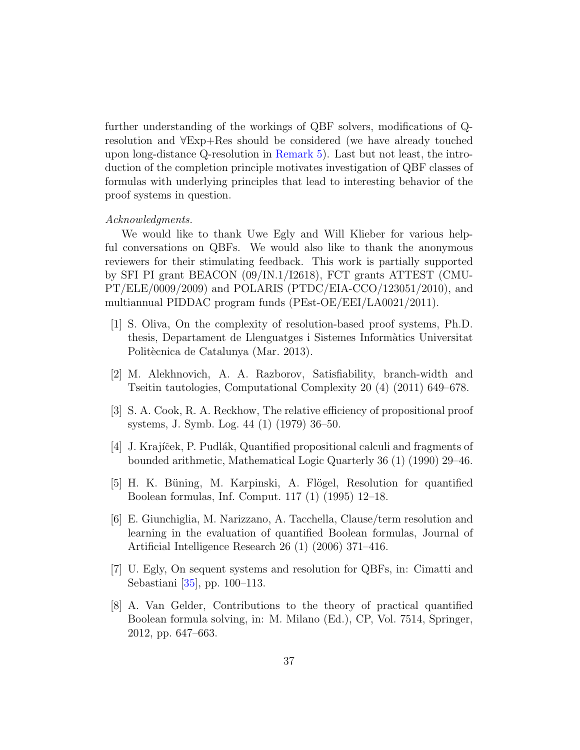further understanding of the workings of QBF solvers, modifications of Qresolution and ∀Exp+Res should be considered (we have already touched upon long-distance Q-resolution in [Remark 5\)](#page-23-1). Last but not least, the introduction of the completion principle motivates investigation of QBF classes of formulas with underlying principles that lead to interesting behavior of the proof systems in question.

# Acknowledgments.

We would like to thank Uwe Egly and Will Klieber for various helpful conversations on QBFs. We would also like to thank the anonymous reviewers for their stimulating feedback. This work is partially supported by SFI PI grant BEACON (09/IN.1/I2618), FCT grants ATTEST (CMU- $PT/ELE/0009/2009)$  and POLARIS (PTDC/EIA-CCO/123051/2010), and multiannual PIDDAC program funds (PEst-OE/EEI/LA0021/2011).

- <span id="page-36-0"></span>[1] S. Oliva, On the complexity of resolution-based proof systems, Ph.D. thesis, Departament de Llenguatges i Sistemes Inform`atics Universitat Politècnica de Catalunya (Mar. 2013).
- <span id="page-36-1"></span>[2] M. Alekhnovich, A. A. Razborov, Satisfiability, branch-width and Tseitin tautologies, Computational Complexity 20 (4) (2011) 649–678.
- <span id="page-36-2"></span>[3] S. A. Cook, R. A. Reckhow, The relative efficiency of propositional proof systems, J. Symb. Log. 44 (1) (1979) 36–50.
- <span id="page-36-3"></span>[4] J. Krajíček, P. Pudlák, Quantified propositional calculi and fragments of bounded arithmetic, Mathematical Logic Quarterly 36 (1) (1990) 29–46.
- <span id="page-36-4"></span>[5] H. K. Büning, M. Karpinski, A. Flögel, Resolution for quantified Boolean formulas, Inf. Comput. 117 (1) (1995) 12–18.
- <span id="page-36-5"></span>[6] E. Giunchiglia, M. Narizzano, A. Tacchella, Clause/term resolution and learning in the evaluation of quantified Boolean formulas, Journal of Artificial Intelligence Research 26 (1) (2006) 371–416.
- <span id="page-36-6"></span>[7] U. Egly, On sequent systems and resolution for QBFs, in: Cimatti and Sebastiani [\[35\]](#page-39-2), pp. 100–113.
- <span id="page-36-7"></span>[8] A. Van Gelder, Contributions to the theory of practical quantified Boolean formula solving, in: M. Milano (Ed.), CP, Vol. 7514, Springer, 2012, pp. 647–663.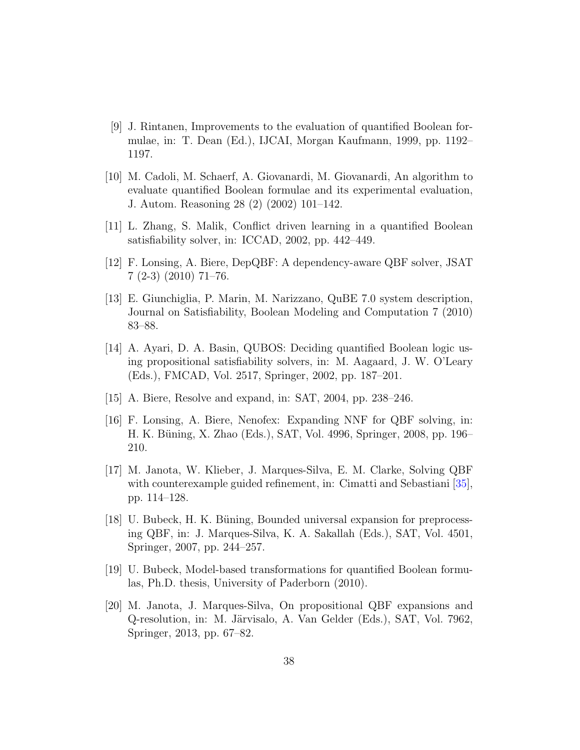- <span id="page-37-0"></span>[9] J. Rintanen, Improvements to the evaluation of quantified Boolean formulae, in: T. Dean (Ed.), IJCAI, Morgan Kaufmann, 1999, pp. 1192– 1197.
- <span id="page-37-1"></span>[10] M. Cadoli, M. Schaerf, A. Giovanardi, M. Giovanardi, An algorithm to evaluate quantified Boolean formulae and its experimental evaluation, J. Autom. Reasoning 28 (2) (2002) 101–142.
- <span id="page-37-2"></span>[11] L. Zhang, S. Malik, Conflict driven learning in a quantified Boolean satisfiability solver, in: ICCAD, 2002, pp. 442–449.
- <span id="page-37-3"></span>[12] F. Lonsing, A. Biere, DepQBF: A dependency-aware QBF solver, JSAT 7 (2-3) (2010) 71–76.
- <span id="page-37-4"></span>[13] E. Giunchiglia, P. Marin, M. Narizzano, QuBE 7.0 system description, Journal on Satisfiability, Boolean Modeling and Computation 7 (2010) 83–88.
- <span id="page-37-5"></span>[14] A. Ayari, D. A. Basin, QUBOS: Deciding quantified Boolean logic using propositional satisfiability solvers, in: M. Aagaard, J. W. O'Leary (Eds.), FMCAD, Vol. 2517, Springer, 2002, pp. 187–201.
- <span id="page-37-6"></span>[15] A. Biere, Resolve and expand, in: SAT, 2004, pp. 238–246.
- <span id="page-37-7"></span>[16] F. Lonsing, A. Biere, Nenofex: Expanding NNF for QBF solving, in: H. K. Büning, X. Zhao (Eds.), SAT, Vol. 4996, Springer, 2008, pp. 196– 210.
- <span id="page-37-8"></span>[17] M. Janota, W. Klieber, J. Marques-Silva, E. M. Clarke, Solving QBF with counterexample guided refinement, in: Cimatti and Sebastiani [\[35\]](#page-39-2), pp. 114–128.
- <span id="page-37-9"></span>[18] U. Bubeck, H. K. Büning, Bounded universal expansion for preprocessing QBF, in: J. Marques-Silva, K. A. Sakallah (Eds.), SAT, Vol. 4501, Springer, 2007, pp. 244–257.
- <span id="page-37-10"></span>[19] U. Bubeck, Model-based transformations for quantified Boolean formulas, Ph.D. thesis, University of Paderborn (2010).
- <span id="page-37-11"></span>[20] M. Janota, J. Marques-Silva, On propositional QBF expansions and Q-resolution, in: M. Järvisalo, A. Van Gelder (Eds.), SAT, Vol. 7962, Springer, 2013, pp. 67–82.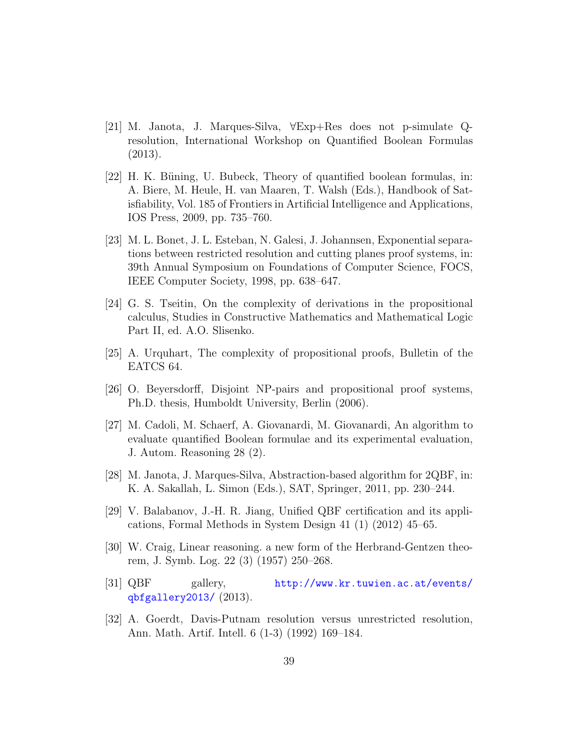- <span id="page-38-0"></span>[21] M. Janota, J. Marques-Silva, ∀Exp+Res does not p-simulate Qresolution, International Workshop on Quantified Boolean Formulas (2013).
- <span id="page-38-1"></span>[22] H. K. Büning, U. Bubeck, Theory of quantified boolean formulas, in: A. Biere, M. Heule, H. van Maaren, T. Walsh (Eds.), Handbook of Satisfiability, Vol. 185 of Frontiers in Artificial Intelligence and Applications, IOS Press, 2009, pp. 735–760.
- <span id="page-38-2"></span>[23] M. L. Bonet, J. L. Esteban, N. Galesi, J. Johannsen, Exponential separations between restricted resolution and cutting planes proof systems, in: 39th Annual Symposium on Foundations of Computer Science, FOCS, IEEE Computer Society, 1998, pp. 638–647.
- <span id="page-38-3"></span>[24] G. S. Tseitin, On the complexity of derivations in the propositional calculus, Studies in Constructive Mathematics and Mathematical Logic Part II, ed. A.O. Slisenko.
- <span id="page-38-4"></span>[25] A. Urquhart, The complexity of propositional proofs, Bulletin of the EATCS 64.
- <span id="page-38-5"></span>[26] O. Beyersdorff, Disjoint NP-pairs and propositional proof systems, Ph.D. thesis, Humboldt University, Berlin (2006).
- <span id="page-38-6"></span>[27] M. Cadoli, M. Schaerf, A. Giovanardi, M. Giovanardi, An algorithm to evaluate quantified Boolean formulae and its experimental evaluation, J. Autom. Reasoning 28 (2).
- <span id="page-38-7"></span>[28] M. Janota, J. Marques-Silva, Abstraction-based algorithm for 2QBF, in: K. A. Sakallah, L. Simon (Eds.), SAT, Springer, 2011, pp. 230–244.
- <span id="page-38-8"></span>[29] V. Balabanov, J.-H. R. Jiang, Unified QBF certification and its applications, Formal Methods in System Design 41 (1) (2012) 45–65.
- <span id="page-38-9"></span>[30] W. Craig, Linear reasoning. a new form of the Herbrand-Gentzen theorem, J. Symb. Log. 22 (3) (1957) 250–268.
- <span id="page-38-10"></span>[31] QBF gallery, [http://www.kr.tuwien.ac.at/events/](http://www.kr.tuwien.ac.at/events/qbfgallery2013/) [qbfgallery2013/](http://www.kr.tuwien.ac.at/events/qbfgallery2013/) (2013).
- <span id="page-38-11"></span>[32] A. Goerdt, Davis-Putnam resolution versus unrestricted resolution, Ann. Math. Artif. Intell. 6 (1-3) (1992) 169–184.